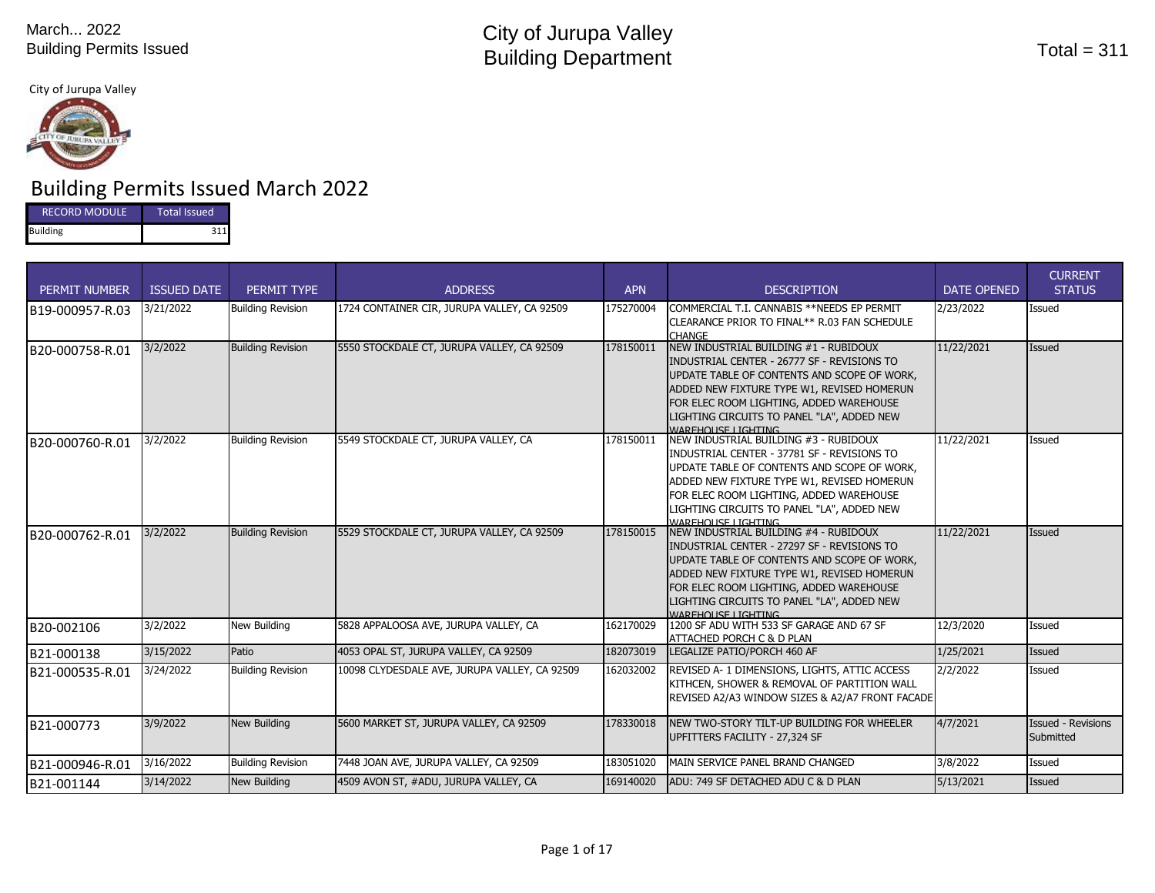#### City of Jurupa Valley



# Building Permits Issued March 2022

| <b>RECORD MODULE</b> | Total Issued |  |  |  |
|----------------------|--------------|--|--|--|
| <b>Building</b>      | 211.         |  |  |  |

| <b>PERMIT NUMBER</b> | <b>ISSUED DATE</b> | PERMIT TYPE              | <b>ADDRESS</b>                                | <b>APN</b> | <b>DESCRIPTION</b>                                                                                                                                                                                                                                                                                       | <b>DATE OPENED</b> | <b>CURRENT</b><br><b>STATUS</b>        |
|----------------------|--------------------|--------------------------|-----------------------------------------------|------------|----------------------------------------------------------------------------------------------------------------------------------------------------------------------------------------------------------------------------------------------------------------------------------------------------------|--------------------|----------------------------------------|
| B19-000957-R.03      | 3/21/2022          | <b>Building Revision</b> | 1724 CONTAINER CIR, JURUPA VALLEY, CA 92509   | 175270004  | COMMERCIAL T.I. CANNABIS ** NEEDS EP PERMIT<br>CLEARANCE PRIOR TO FINAL** R.03 FAN SCHEDULE<br><b>CHANGE</b>                                                                                                                                                                                             | 2/23/2022          | <b>Issued</b>                          |
| B20-000758-R.01      | 3/2/2022           | <b>Building Revision</b> | 5550 STOCKDALE CT, JURUPA VALLEY, CA 92509    | 178150011  | NEW INDUSTRIAL BUILDING #1 - RUBIDOUX<br>INDUSTRIAL CENTER - 26777 SF - REVISIONS TO<br>UPDATE TABLE OF CONTENTS AND SCOPE OF WORK,<br>ADDED NEW FIXTURE TYPE W1, REVISED HOMERUN<br>FOR ELEC ROOM LIGHTING, ADDED WAREHOUSE<br>LIGHTING CIRCUITS TO PANEL "LA", ADDED NEW<br><b>WAREHOLISE LIGHTING</b> | 11/22/2021         | <b>Issued</b>                          |
| B20-000760-R.01      | 3/2/2022           | <b>Building Revision</b> | 5549 STOCKDALE CT, JURUPA VALLEY, CA          | 178150011  | NEW INDUSTRIAL BUILDING #3 - RUBIDOUX<br>INDUSTRIAL CENTER - 37781 SF - REVISIONS TO<br>UPDATE TABLE OF CONTENTS AND SCOPE OF WORK,<br>ADDED NEW FIXTURE TYPE W1, REVISED HOMERUN<br>FOR ELEC ROOM LIGHTING, ADDED WAREHOUSE<br>LIGHTING CIRCUITS TO PANEL "LA", ADDED NEW<br><b>WAREHOLISE LIGHTING</b> | 11/22/2021         | Issued                                 |
| B20-000762-R.01      | 3/2/2022           | <b>Building Revision</b> | 5529 STOCKDALE CT, JURUPA VALLEY, CA 92509    | 178150015  | NEW INDUSTRIAL BUILDING #4 - RUBIDOUX<br>INDUSTRIAL CENTER - 27297 SF - REVISIONS TO<br>UPDATE TABLE OF CONTENTS AND SCOPE OF WORK,<br>ADDED NEW FIXTURE TYPE W1, REVISED HOMERUN<br>FOR ELEC ROOM LIGHTING, ADDED WAREHOUSE<br>LIGHTING CIRCUITS TO PANEL "LA", ADDED NEW<br>WARFHOLISE LIGHTING        | 11/22/2021         | <b>Issued</b>                          |
| B20-002106           | 3/2/2022           | New Building             | 5828 APPALOOSA AVE, JURUPA VALLEY, CA         | 162170029  | 1200 SF ADU WITH 533 SF GARAGE AND 67 SF<br>ATTACHED PORCH C & D PLAN                                                                                                                                                                                                                                    | 12/3/2020          | Issued                                 |
| B21-000138           | 3/15/2022          | Patio                    | 4053 OPAL ST, JURUPA VALLEY, CA 92509         | 182073019  | LEGALIZE PATIO/PORCH 460 AF                                                                                                                                                                                                                                                                              | 1/25/2021          | Issued                                 |
| B21-000535-R.01      | 3/24/2022          | <b>Building Revision</b> | 10098 CLYDESDALE AVE, JURUPA VALLEY, CA 92509 | 162032002  | REVISED A- 1 DIMENSIONS, LIGHTS, ATTIC ACCESS<br>KITHCEN, SHOWER & REMOVAL OF PARTITION WALL<br>REVISED A2/A3 WINDOW SIZES & A2/A7 FRONT FACADE                                                                                                                                                          | 2/2/2022           | Issued                                 |
| B21-000773           | 3/9/2022           | <b>New Building</b>      | 5600 MARKET ST, JURUPA VALLEY, CA 92509       | 178330018  | <b>INEW TWO-STORY TILT-UP BUILDING FOR WHEELER</b><br>UPFITTERS FACILITY - 27,324 SF                                                                                                                                                                                                                     | 4/7/2021           | <b>Issued - Revisions</b><br>Submitted |
| B21-000946-R.01      | 3/16/2022          | <b>Building Revision</b> | 7448 JOAN AVE, JURUPA VALLEY, CA 92509        | 183051020  | MAIN SERVICE PANEL BRAND CHANGED                                                                                                                                                                                                                                                                         | 3/8/2022           | <b>Issued</b>                          |
| B21-001144           | 3/14/2022          | New Building             | 4509 AVON ST, #ADU, JURUPA VALLEY, CA         | 169140020  | ADU: 749 SF DETACHED ADU C & D PLAN                                                                                                                                                                                                                                                                      | 5/13/2021          | <b>Issued</b>                          |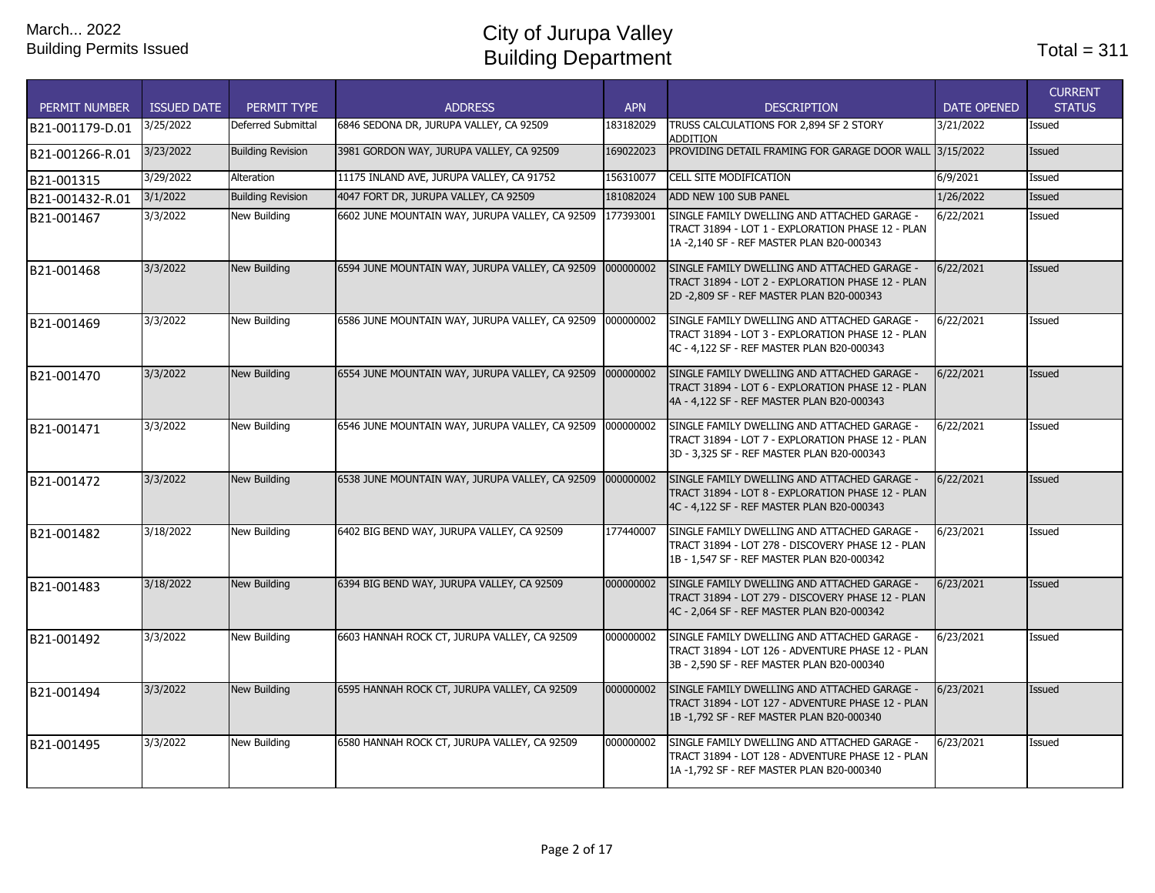| <b>PERMIT NUMBER</b> | <b>ISSUED DATE</b> | PERMIT TYPE              | <b>ADDRESS</b>                                             | <b>APN</b> | <b>DESCRIPTION</b>                                                                                                                              | <b>DATE OPENED</b> | <b>CURRENT</b><br><b>STATUS</b> |
|----------------------|--------------------|--------------------------|------------------------------------------------------------|------------|-------------------------------------------------------------------------------------------------------------------------------------------------|--------------------|---------------------------------|
| B21-001179-D.01      | 3/25/2022          | Deferred Submittal       | 6846 SEDONA DR, JURUPA VALLEY, CA 92509                    | 183182029  | TRUSS CALCULATIONS FOR 2.894 SF 2 STORY<br><b>ADDITION</b>                                                                                      | 3/21/2022          | Issued                          |
| B21-001266-R.01      | 3/23/2022          | <b>Building Revision</b> | 3981 GORDON WAY, JURUPA VALLEY, CA 92509                   | 169022023  | PROVIDING DETAIL FRAMING FOR GARAGE DOOR WALL 3/15/2022                                                                                         |                    | Issued                          |
| B21-001315           | 3/29/2022          | Alteration               | 11175 INLAND AVE, JURUPA VALLEY, CA 91752                  | 156310077  | CELL SITE MODIFICATION                                                                                                                          | 6/9/2021           | Issued                          |
| B21-001432-R.01      | 3/1/2022           | <b>Building Revision</b> | 4047 FORT DR, JURUPA VALLEY, CA 92509                      | 181082024  | ADD NEW 100 SUB PANEL                                                                                                                           | 1/26/2022          | Issued                          |
| B21-001467           | 3/3/2022           | <b>New Building</b>      | 6602 JUNE MOUNTAIN WAY, JURUPA VALLEY, CA 92509            | 177393001  | SINGLE FAMILY DWELLING AND ATTACHED GARAGE -<br>TRACT 31894 - LOT 1 - EXPLORATION PHASE 12 - PLAN<br>1A-2,140 SF - REF MASTER PLAN B20-000343   | 6/22/2021          | Issued                          |
| B21-001468           | 3/3/2022           | New Building             | 6594 JUNE MOUNTAIN WAY, JURUPA VALLEY, CA 92509 0000000002 |            | SINGLE FAMILY DWELLING AND ATTACHED GARAGE -<br>TRACT 31894 - LOT 2 - EXPLORATION PHASE 12 - PLAN<br>2D-2,809 SF - REF MASTER PLAN B20-000343   | 6/22/2021          | <b>Issued</b>                   |
| B21-001469           | 3/3/2022           | <b>New Building</b>      | 6586 JUNE MOUNTAIN WAY, JURUPA VALLEY, CA 92509            | 000000002  | SINGLE FAMILY DWELLING AND ATTACHED GARAGE -<br>TRACT 31894 - LOT 3 - EXPLORATION PHASE 12 - PLAN<br>4C - 4,122 SF - REF MASTER PLAN B20-000343 | 6/22/2021          | Issued                          |
| B21-001470           | 3/3/2022           | New Building             | 6554 JUNE MOUNTAIN WAY, JURUPA VALLEY, CA 92509 000000002  |            | SINGLE FAMILY DWELLING AND ATTACHED GARAGE -<br>TRACT 31894 - LOT 6 - EXPLORATION PHASE 12 - PLAN<br>4A - 4,122 SF - REF MASTER PLAN B20-000343 | 6/22/2021          | Issued                          |
| B21-001471           | 3/3/2022           | <b>New Building</b>      | 6546 JUNE MOUNTAIN WAY, JURUPA VALLEY, CA 92509            | 000000002  | SINGLE FAMILY DWELLING AND ATTACHED GARAGE -<br>TRACT 31894 - LOT 7 - EXPLORATION PHASE 12 - PLAN<br>3D - 3,325 SF - REF MASTER PLAN B20-000343 | 6/22/2021          | Issued                          |
| B21-001472           | 3/3/2022           | <b>New Building</b>      | 6538 JUNE MOUNTAIN WAY, JURUPA VALLEY, CA 92509 0000000002 |            | SINGLE FAMILY DWELLING AND ATTACHED GARAGE -<br>TRACT 31894 - LOT 8 - EXPLORATION PHASE 12 - PLAN<br>4C - 4,122 SF - REF MASTER PLAN B20-000343 | 6/22/2021          | Issued                          |
| B21-001482           | 3/18/2022          | <b>New Building</b>      | 6402 BIG BEND WAY, JURUPA VALLEY, CA 92509                 | 177440007  | SINGLE FAMILY DWELLING AND ATTACHED GARAGE -<br>TRACT 31894 - LOT 278 - DISCOVERY PHASE 12 - PLAN<br>1B - 1,547 SF - REF MASTER PLAN B20-000342 | 6/23/2021          | Issued                          |
| B21-001483           | 3/18/2022          | <b>New Building</b>      | 6394 BIG BEND WAY, JURUPA VALLEY, CA 92509                 | 000000002  | SINGLE FAMILY DWELLING AND ATTACHED GARAGE -<br>TRACT 31894 - LOT 279 - DISCOVERY PHASE 12 - PLAN<br>4C - 2,064 SF - REF MASTER PLAN B20-000342 | 6/23/2021          | <b>Issued</b>                   |
| B21-001492           | 3/3/2022           | <b>New Building</b>      | 6603 HANNAH ROCK CT, JURUPA VALLEY, CA 92509               | 000000002  | SINGLE FAMILY DWELLING AND ATTACHED GARAGE -<br>TRACT 31894 - LOT 126 - ADVENTURE PHASE 12 - PLAN<br>3B - 2,590 SF - REF MASTER PLAN B20-000340 | 6/23/2021          | Issued                          |
| B21-001494           | 3/3/2022           | New Building             | 6595 HANNAH ROCK CT, JURUPA VALLEY, CA 92509               | 000000002  | SINGLE FAMILY DWELLING AND ATTACHED GARAGE -<br>TRACT 31894 - LOT 127 - ADVENTURE PHASE 12 - PLAN<br>1B-1,792 SF-REF MASTER PLAN B20-000340     | 6/23/2021          | Issued                          |
| B21-001495           | 3/3/2022           | New Building             | 6580 HANNAH ROCK CT, JURUPA VALLEY, CA 92509               | 000000002  | SINGLE FAMILY DWELLING AND ATTACHED GARAGE -<br>TRACT 31894 - LOT 128 - ADVENTURE PHASE 12 - PLAN<br>1A-1,792 SF - REF MASTER PLAN B20-000340   | 6/23/2021          | Issued                          |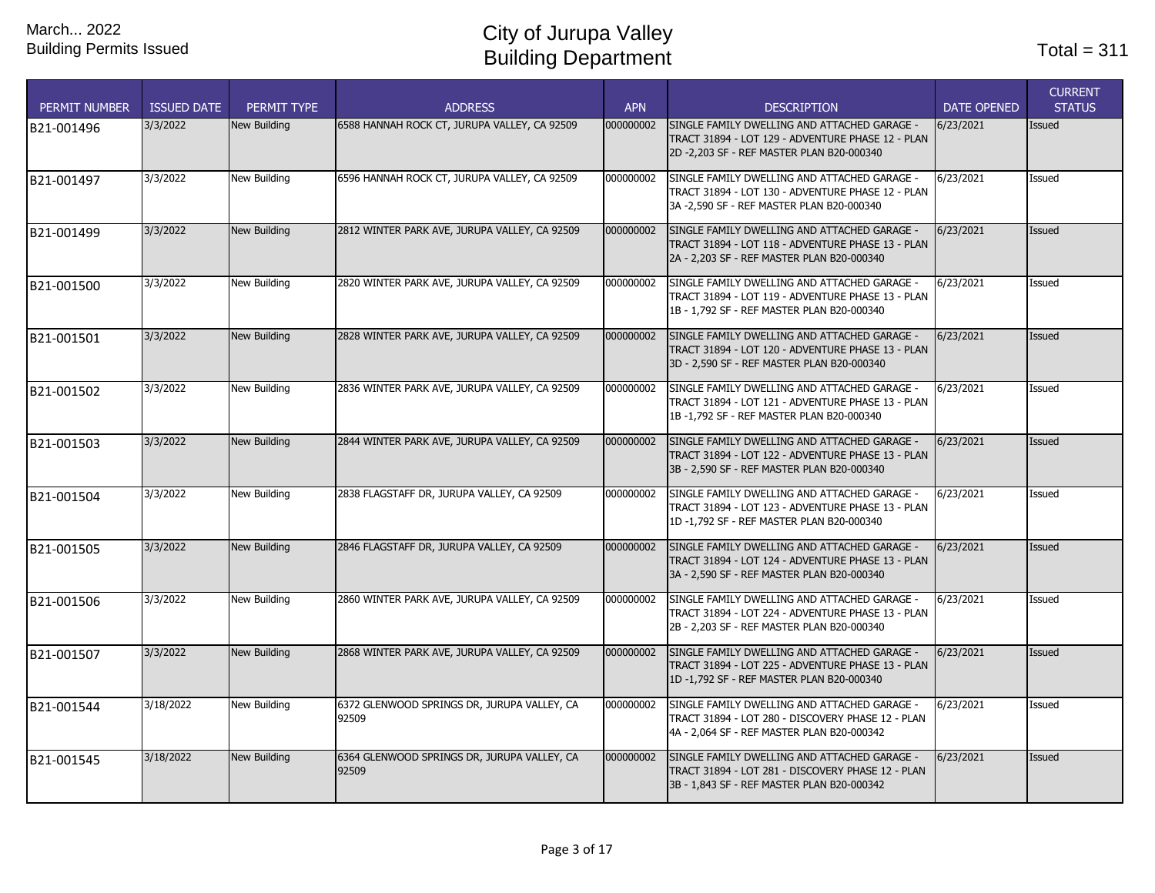| <b>PERMIT NUMBER</b> | <b>ISSUED DATE</b> | PERMIT TYPE         | <b>ADDRESS</b>                                       | <b>APN</b> | <b>DESCRIPTION</b>                                                                                                                              | <b>DATE OPENED</b> | <b>CURRENT</b><br><b>STATUS</b> |
|----------------------|--------------------|---------------------|------------------------------------------------------|------------|-------------------------------------------------------------------------------------------------------------------------------------------------|--------------------|---------------------------------|
| B21-001496           | 3/3/2022           | New Building        | 6588 HANNAH ROCK CT, JURUPA VALLEY, CA 92509         | 000000002  | SINGLE FAMILY DWELLING AND ATTACHED GARAGE -<br>TRACT 31894 - LOT 129 - ADVENTURE PHASE 12 - PLAN<br>2D-2,203 SF-REF MASTER PLAN B20-000340     | 6/23/2021          | <b>Issued</b>                   |
| B21-001497           | 3/3/2022           | New Building        | 6596 HANNAH ROCK CT, JURUPA VALLEY, CA 92509         | 000000002  | SINGLE FAMILY DWELLING AND ATTACHED GARAGE -<br>TRACT 31894 - LOT 130 - ADVENTURE PHASE 12 - PLAN<br>3A - 2,590 SF - REF MASTER PLAN B20-000340 | 6/23/2021          | Issued                          |
| B21-001499           | 3/3/2022           | <b>New Building</b> | 2812 WINTER PARK AVE, JURUPA VALLEY, CA 92509        | 000000002  | SINGLE FAMILY DWELLING AND ATTACHED GARAGE -<br>TRACT 31894 - LOT 118 - ADVENTURE PHASE 13 - PLAN<br>2A - 2,203 SF - REF MASTER PLAN B20-000340 | 6/23/2021          | <b>Issued</b>                   |
| B21-001500           | 3/3/2022           | New Building        | 2820 WINTER PARK AVE, JURUPA VALLEY, CA 92509        | 000000002  | SINGLE FAMILY DWELLING AND ATTACHED GARAGE -<br>TRACT 31894 - LOT 119 - ADVENTURE PHASE 13 - PLAN<br>1B - 1,792 SF - REF MASTER PLAN B20-000340 | 6/23/2021          | Issued                          |
| B21-001501           | 3/3/2022           | New Building        | 2828 WINTER PARK AVE, JURUPA VALLEY, CA 92509        | 000000002  | SINGLE FAMILY DWELLING AND ATTACHED GARAGE -<br>TRACT 31894 - LOT 120 - ADVENTURE PHASE 13 - PLAN<br>3D - 2,590 SF - REF MASTER PLAN B20-000340 | 6/23/2021          | Issued                          |
| B21-001502           | 3/3/2022           | New Building        | 2836 WINTER PARK AVE, JURUPA VALLEY, CA 92509        | 000000002  | SINGLE FAMILY DWELLING AND ATTACHED GARAGE -<br>TRACT 31894 - LOT 121 - ADVENTURE PHASE 13 - PLAN<br>1B-1,792 SF-REF MASTER PLAN B20-000340     | 6/23/2021          | Issued                          |
| B21-001503           | 3/3/2022           | New Building        | 2844 WINTER PARK AVE, JURUPA VALLEY, CA 92509        | 000000002  | SINGLE FAMILY DWELLING AND ATTACHED GARAGE -<br>TRACT 31894 - LOT 122 - ADVENTURE PHASE 13 - PLAN<br>3B - 2,590 SF - REF MASTER PLAN B20-000340 | 6/23/2021          | Issued                          |
| B21-001504           | 3/3/2022           | New Building        | 2838 FLAGSTAFF DR, JURUPA VALLEY, CA 92509           | 000000002  | SINGLE FAMILY DWELLING AND ATTACHED GARAGE -<br>TRACT 31894 - LOT 123 - ADVENTURE PHASE 13 - PLAN<br>1D-1,792 SF - REF MASTER PLAN B20-000340   | 6/23/2021          | Issued                          |
| B21-001505           | 3/3/2022           | <b>New Building</b> | 2846 FLAGSTAFF DR, JURUPA VALLEY, CA 92509           | 000000002  | SINGLE FAMILY DWELLING AND ATTACHED GARAGE -<br>TRACT 31894 - LOT 124 - ADVENTURE PHASE 13 - PLAN<br>3A - 2,590 SF - REF MASTER PLAN B20-000340 | 6/23/2021          | Issued                          |
| B21-001506           | 3/3/2022           | <b>New Building</b> | 2860 WINTER PARK AVE, JURUPA VALLEY, CA 92509        | 000000002  | SINGLE FAMILY DWELLING AND ATTACHED GARAGE -<br>TRACT 31894 - LOT 224 - ADVENTURE PHASE 13 - PLAN<br>2B - 2,203 SF - REF MASTER PLAN B20-000340 | 6/23/2021          | Issued                          |
| B21-001507           | 3/3/2022           | <b>New Building</b> | 2868 WINTER PARK AVE, JURUPA VALLEY, CA 92509        | 000000002  | SINGLE FAMILY DWELLING AND ATTACHED GARAGE -<br>TRACT 31894 - LOT 225 - ADVENTURE PHASE 13 - PLAN<br>1D-1,792 SF - REF MASTER PLAN B20-000340   | 6/23/2021          | Issued                          |
| B21-001544           | 3/18/2022          | New Building        | 6372 GLENWOOD SPRINGS DR, JURUPA VALLEY, CA<br>92509 | 000000002  | SINGLE FAMILY DWELLING AND ATTACHED GARAGE -<br>TRACT 31894 - LOT 280 - DISCOVERY PHASE 12 - PLAN<br>4A - 2,064 SF - REF MASTER PLAN B20-000342 | 6/23/2021          | Issued                          |
| B21-001545           | 3/18/2022          | <b>New Building</b> | 6364 GLENWOOD SPRINGS DR, JURUPA VALLEY, CA<br>92509 | 000000002  | SINGLE FAMILY DWELLING AND ATTACHED GARAGE -<br>TRACT 31894 - LOT 281 - DISCOVERY PHASE 12 - PLAN<br>3B - 1,843 SF - REF MASTER PLAN B20-000342 | 6/23/2021          | Issued                          |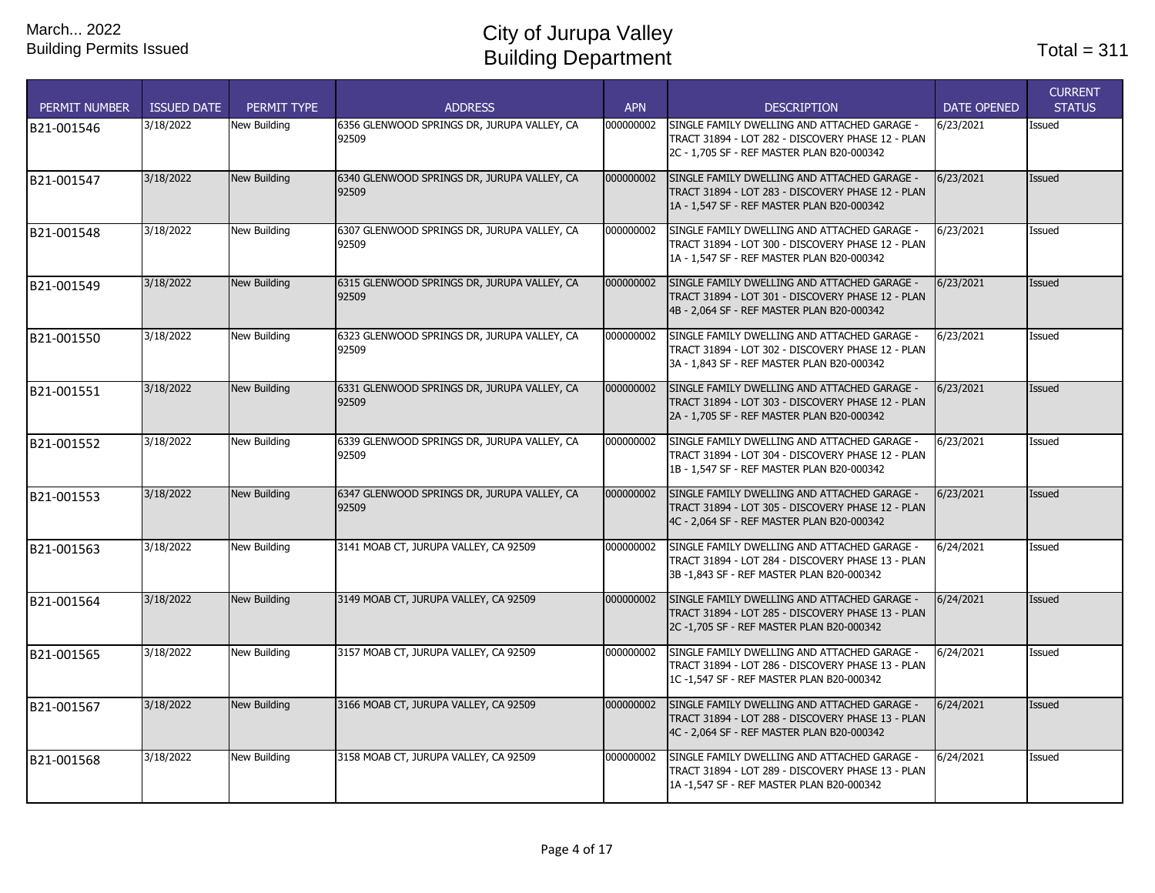| <b>PERMIT NUMBER</b> | <b>ISSUED DATE</b> | PERMIT TYPE         | <b>ADDRESS</b>                                       | <b>APN</b> | <b>DESCRIPTION</b>                                                                                                                              | <b>DATE OPENED</b> | <b>CURRENT</b><br><b>STATUS</b> |
|----------------------|--------------------|---------------------|------------------------------------------------------|------------|-------------------------------------------------------------------------------------------------------------------------------------------------|--------------------|---------------------------------|
| B21-001546           | 3/18/2022          | New Building        | 6356 GLENWOOD SPRINGS DR, JURUPA VALLEY, CA<br>92509 | 000000002  | SINGLE FAMILY DWELLING AND ATTACHED GARAGE -<br>TRACT 31894 - LOT 282 - DISCOVERY PHASE 12 - PLAN<br>2C - 1.705 SF - REF MASTER PLAN B20-000342 | 6/23/2021          | Issued                          |
| B21-001547           | 3/18/2022          | <b>New Building</b> | 6340 GLENWOOD SPRINGS DR, JURUPA VALLEY, CA<br>92509 | 000000002  | SINGLE FAMILY DWELLING AND ATTACHED GARAGE -<br>TRACT 31894 - LOT 283 - DISCOVERY PHASE 12 - PLAN<br>1A - 1,547 SF - REF MASTER PLAN B20-000342 | 6/23/2021          | <b>Issued</b>                   |
| B21-001548           | 3/18/2022          | <b>New Building</b> | 6307 GLENWOOD SPRINGS DR, JURUPA VALLEY, CA<br>92509 | 000000002  | SINGLE FAMILY DWELLING AND ATTACHED GARAGE -<br>TRACT 31894 - LOT 300 - DISCOVERY PHASE 12 - PLAN<br>1A - 1,547 SF - REF MASTER PLAN B20-000342 | 6/23/2021          | Issued                          |
| B21-001549           | 3/18/2022          | <b>New Building</b> | 6315 GLENWOOD SPRINGS DR, JURUPA VALLEY, CA<br>92509 | 000000002  | SINGLE FAMILY DWELLING AND ATTACHED GARAGE -<br>TRACT 31894 - LOT 301 - DISCOVERY PHASE 12 - PLAN<br>4B - 2,064 SF - REF MASTER PLAN B20-000342 | 6/23/2021          | <b>Issued</b>                   |
| B21-001550           | 3/18/2022          | New Building        | 6323 GLENWOOD SPRINGS DR, JURUPA VALLEY, CA<br>92509 | 000000002  | SINGLE FAMILY DWELLING AND ATTACHED GARAGE -<br>TRACT 31894 - LOT 302 - DISCOVERY PHASE 12 - PLAN<br>3A - 1,843 SF - REF MASTER PLAN B20-000342 | 6/23/2021          | Issued                          |
| B21-001551           | 3/18/2022          | <b>New Building</b> | 6331 GLENWOOD SPRINGS DR, JURUPA VALLEY, CA<br>92509 | 000000002  | SINGLE FAMILY DWELLING AND ATTACHED GARAGE -<br>TRACT 31894 - LOT 303 - DISCOVERY PHASE 12 - PLAN<br>2A - 1,705 SF - REF MASTER PLAN B20-000342 | 6/23/2021          | <b>Issued</b>                   |
| B21-001552           | 3/18/2022          | New Building        | 6339 GLENWOOD SPRINGS DR, JURUPA VALLEY, CA<br>92509 | 000000002  | SINGLE FAMILY DWELLING AND ATTACHED GARAGE -<br>TRACT 31894 - LOT 304 - DISCOVERY PHASE 12 - PLAN<br>1B - 1,547 SF - REF MASTER PLAN B20-000342 | 6/23/2021          | Issued                          |
| B21-001553           | 3/18/2022          | <b>New Building</b> | 6347 GLENWOOD SPRINGS DR, JURUPA VALLEY, CA<br>92509 | 000000002  | SINGLE FAMILY DWELLING AND ATTACHED GARAGE -<br>TRACT 31894 - LOT 305 - DISCOVERY PHASE 12 - PLAN<br>4C - 2,064 SF - REF MASTER PLAN B20-000342 | 6/23/2021          | <b>Issued</b>                   |
| B21-001563           | 3/18/2022          | New Building        | 3141 MOAB CT, JURUPA VALLEY, CA 92509                | 000000002  | SINGLE FAMILY DWELLING AND ATTACHED GARAGE -<br>TRACT 31894 - LOT 284 - DISCOVERY PHASE 13 - PLAN<br>3B-1,843 SF-REF MASTER PLAN B20-000342     | 6/24/2021          | Issued                          |
| B21-001564           | 3/18/2022          | <b>New Building</b> | 3149 MOAB CT, JURUPA VALLEY, CA 92509                | 000000002  | SINGLE FAMILY DWELLING AND ATTACHED GARAGE -<br>TRACT 31894 - LOT 285 - DISCOVERY PHASE 13 - PLAN<br>2C-1,705 SF-REF MASTER PLAN B20-000342     | 6/24/2021          | <b>Issued</b>                   |
| B21-001565           | 3/18/2022          | New Building        | 3157 MOAB CT, JURUPA VALLEY, CA 92509                | 000000002  | SINGLE FAMILY DWELLING AND ATTACHED GARAGE -<br>TRACT 31894 - LOT 286 - DISCOVERY PHASE 13 - PLAN<br>1C-1,547 SF - REF MASTER PLAN B20-000342   | 6/24/2021          | Issued                          |
| B21-001567           | 3/18/2022          | <b>New Building</b> | 3166 MOAB CT, JURUPA VALLEY, CA 92509                | 000000002  | SINGLE FAMILY DWELLING AND ATTACHED GARAGE -<br>TRACT 31894 - LOT 288 - DISCOVERY PHASE 13 - PLAN<br>4C - 2.064 SF - REF MASTER PLAN B20-000342 | 6/24/2021          | <b>Issued</b>                   |
| B21-001568           | 3/18/2022          | New Building        | 3158 MOAB CT, JURUPA VALLEY, CA 92509                | 000000002  | SINGLE FAMILY DWELLING AND ATTACHED GARAGE -<br>TRACT 31894 - LOT 289 - DISCOVERY PHASE 13 - PLAN<br>1A-1,547 SF - REF MASTER PLAN B20-000342   | 6/24/2021          | Issued                          |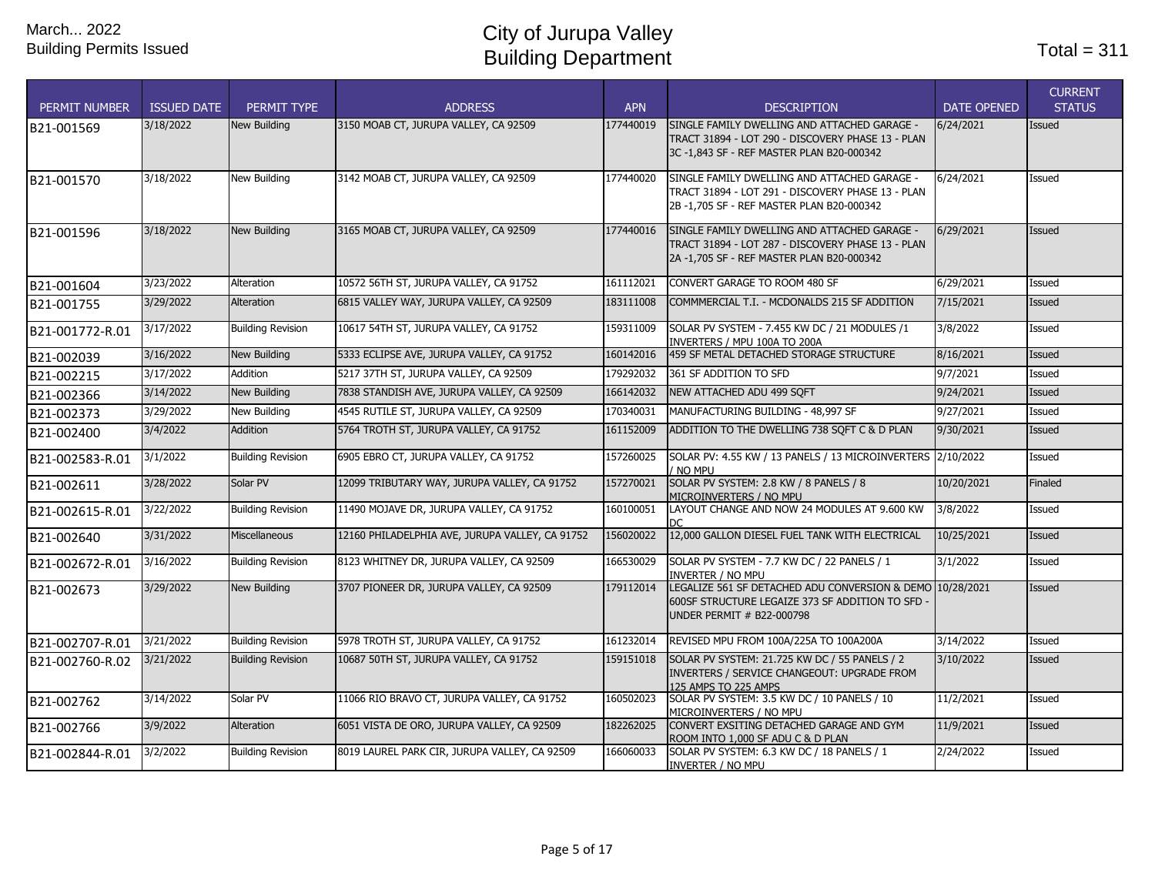| <b>PERMIT NUMBER</b> | <b>ISSUED DATE</b> | PERMIT TYPE              | <b>ADDRESS</b>                                  | <b>APN</b> | <b>DESCRIPTION</b>                                                                                                                            | <b>DATE OPENED</b> | <b>CURRENT</b><br><b>STATUS</b> |
|----------------------|--------------------|--------------------------|-------------------------------------------------|------------|-----------------------------------------------------------------------------------------------------------------------------------------------|--------------------|---------------------------------|
| B21-001569           | 3/18/2022          | New Building             | 3150 MOAB CT, JURUPA VALLEY, CA 92509           | 177440019  | SINGLE FAMILY DWELLING AND ATTACHED GARAGE -<br>TRACT 31894 - LOT 290 - DISCOVERY PHASE 13 - PLAN<br>3C-1,843 SF - REF MASTER PLAN B20-000342 | 6/24/2021          | <b>Issued</b>                   |
| B21-001570           | 3/18/2022          | New Building             | 3142 MOAB CT, JURUPA VALLEY, CA 92509           | 177440020  | SINGLE FAMILY DWELLING AND ATTACHED GARAGE -<br>TRACT 31894 - LOT 291 - DISCOVERY PHASE 13 - PLAN<br>2B-1,705 SF-REF MASTER PLAN B20-000342   | 6/24/2021          | Issued                          |
| B21-001596           | 3/18/2022          | New Building             | 3165 MOAB CT, JURUPA VALLEY, CA 92509           | 177440016  | SINGLE FAMILY DWELLING AND ATTACHED GARAGE -<br>TRACT 31894 - LOT 287 - DISCOVERY PHASE 13 - PLAN<br>2A-1,705 SF - REF MASTER PLAN B20-000342 | 6/29/2021          | Issued                          |
| B21-001604           | 3/23/2022          | <b>Alteration</b>        | 10572 56TH ST, JURUPA VALLEY, CA 91752          | 161112021  | CONVERT GARAGE TO ROOM 480 SF                                                                                                                 | 6/29/2021          | Issued                          |
| B21-001755           | 3/29/2022          | <b>Alteration</b>        | 6815 VALLEY WAY, JURUPA VALLEY, CA 92509        | 183111008  | COMMMERCIAL T.I. - MCDONALDS 215 SF ADDITION                                                                                                  | 7/15/2021          | Issued                          |
| B21-001772-R.01      | 3/17/2022          | <b>Building Revision</b> | 10617 54TH ST, JURUPA VALLEY, CA 91752          | 159311009  | SOLAR PV SYSTEM - 7.455 KW DC / 21 MODULES /1<br>INVERTERS / MPU 100A TO 200A                                                                 | 3/8/2022           | Issued                          |
| B21-002039           | 3/16/2022          | <b>New Building</b>      | 5333 ECLIPSE AVE, JURUPA VALLEY, CA 91752       | 160142016  | 459 SF METAL DETACHED STORAGE STRUCTURE                                                                                                       | 8/16/2021          | <b>Issued</b>                   |
| B21-002215           | 3/17/2022          | <b>Addition</b>          | 5217 37TH ST, JURUPA VALLEY, CA 92509           | 179292032  | 361 SF ADDITION TO SFD                                                                                                                        | 9/7/2021           | Issued                          |
| B21-002366           | 3/14/2022          | New Building             | 7838 STANDISH AVE, JURUPA VALLEY, CA 92509      | 166142032  | NEW ATTACHED ADU 499 SQFT                                                                                                                     | 9/24/2021          | <b>Issued</b>                   |
| B21-002373           | 3/29/2022          | New Building             | 4545 RUTILE ST, JURUPA VALLEY, CA 92509         | 170340031  | MANUFACTURING BUILDING - 48,997 SF                                                                                                            | 9/27/2021          | Issued                          |
| B21-002400           | 3/4/2022           | <b>Addition</b>          | 5764 TROTH ST, JURUPA VALLEY, CA 91752          | 161152009  | ADDITION TO THE DWELLING 738 SOFT C & D PLAN                                                                                                  | 9/30/2021          | <b>Issued</b>                   |
| B21-002583-R.01      | 3/1/2022           | <b>Building Revision</b> | 6905 EBRO CT, JURUPA VALLEY, CA 91752           | 157260025  | SOLAR PV: 4.55 KW / 13 PANELS / 13 MICROINVERTERS 2/10/2022<br>NO MPU                                                                         |                    | Issued                          |
| B21-002611           | 3/28/2022          | Solar PV                 | 12099 TRIBUTARY WAY, JURUPA VALLEY, CA 91752    | 157270021  | SOLAR PV SYSTEM: 2.8 KW / 8 PANELS / 8<br>MICROINVERTERS / NO MPU                                                                             | 10/20/2021         | Finaled                         |
| B21-002615-R.01      | 3/22/2022          | <b>Building Revision</b> | 11490 MOJAVE DR, JURUPA VALLEY, CA 91752        | 160100051  | LAYOUT CHANGE AND NOW 24 MODULES AT 9,600 KW                                                                                                  | 3/8/2022           | Issued                          |
| B21-002640           | 3/31/2022          | <b>Miscellaneous</b>     | 12160 PHILADELPHIA AVE, JURUPA VALLEY, CA 91752 | 156020022  | 12,000 GALLON DIESEL FUEL TANK WITH ELECTRICAL                                                                                                | 10/25/2021         | <b>Issued</b>                   |
| B21-002672-R.01      | 3/16/2022          | <b>Building Revision</b> | 8123 WHITNEY DR, JURUPA VALLEY, CA 92509        | 166530029  | SOLAR PV SYSTEM - 7.7 KW DC / 22 PANELS / 1<br><b>INVERTER / NO MPU</b>                                                                       | 3/1/2022           | Issued                          |
| B21-002673           | 3/29/2022          | New Building             | 3707 PIONEER DR, JURUPA VALLEY, CA 92509        | 179112014  | LEGALIZE 561 SF DETACHED ADU CONVERSION & DEMO 10/28/2021<br>600SF STRUCTURE LEGAIZE 373 SF ADDITION TO SFD<br>UNDER PERMIT # B22-000798      |                    | <b>Issued</b>                   |
| B21-002707-R.01      | 3/21/2022          | <b>Building Revision</b> | 5978 TROTH ST, JURUPA VALLEY, CA 91752          | 161232014  | REVISED MPU FROM 100A/225A TO 100A200A                                                                                                        | 3/14/2022          | Issued                          |
| B21-002760-R.02      | 3/21/2022          | <b>Building Revision</b> | 10687 50TH ST, JURUPA VALLEY, CA 91752          | 159151018  | SOLAR PV SYSTEM: 21.725 KW DC / 55 PANELS / 2<br>INVERTERS / SERVICE CHANGEOUT: UPGRADE FROM<br>125 AMPS TO 225 AMPS                          | 3/10/2022          | Issued                          |
| B21-002762           | 3/14/2022          | Solar PV                 | 11066 RIO BRAVO CT, JURUPA VALLEY, CA 91752     | 160502023  | SOLAR PV SYSTEM: 3.5 KW DC / 10 PANELS / 10<br>MICROINVERTERS / NO MPU                                                                        | 11/2/2021          | Issued                          |
| B21-002766           | 3/9/2022           | Alteration               | 6051 VISTA DE ORO, JURUPA VALLEY, CA 92509      | 182262025  | CONVERT EXSITING DETACHED GARAGE AND GYM<br>ROOM INTO 1,000 SF ADU C & D PLAN                                                                 | 11/9/2021          | Issued                          |
| B21-002844-R.01      | 3/2/2022           | <b>Building Revision</b> | 8019 LAUREL PARK CIR, JURUPA VALLEY, CA 92509   | 166060033  | SOLAR PV SYSTEM: 6.3 KW DC / 18 PANELS / 1<br><b>INVERTER / NO MPU</b>                                                                        | 2/24/2022          | Issued                          |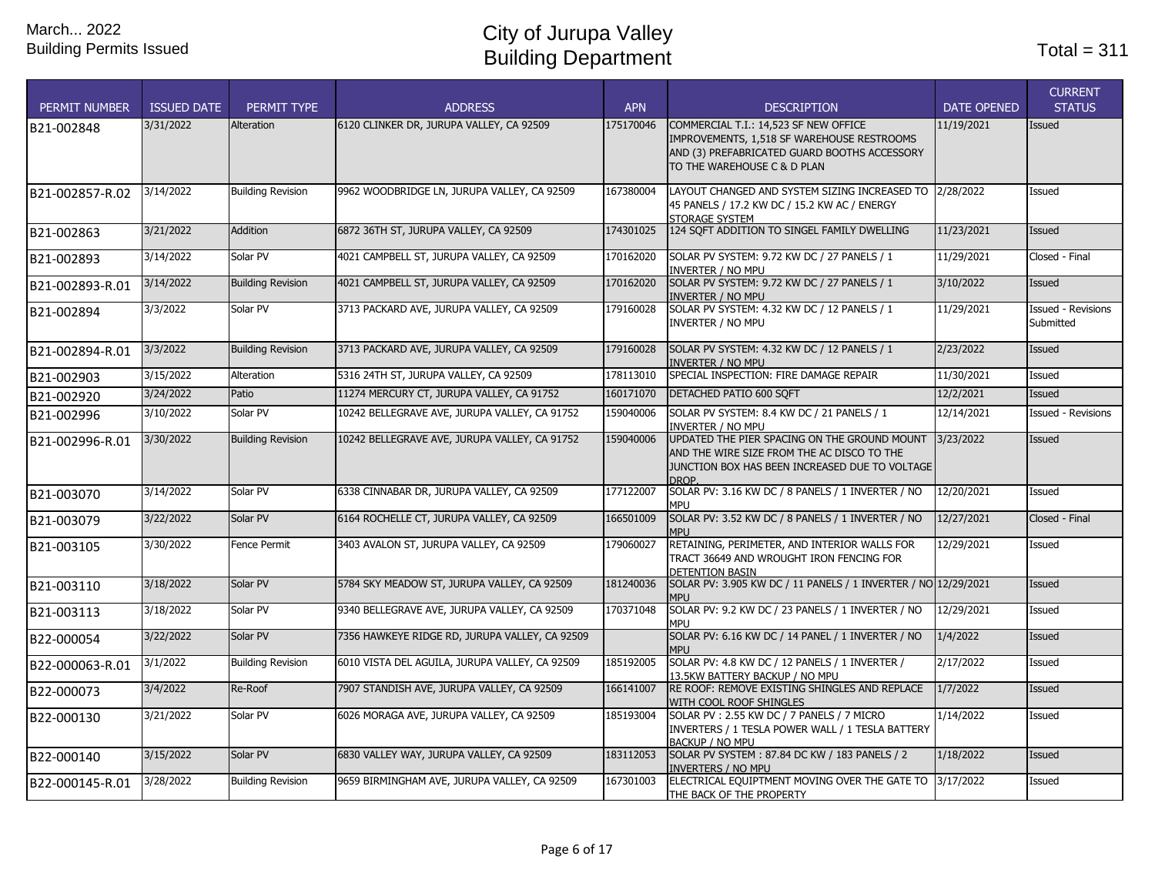| <b>PERMIT NUMBER</b> | <b>ISSUED DATE</b> | PERMIT TYPE              | <b>ADDRESS</b>                                 | <b>APN</b> | <b>DESCRIPTION</b>                                                                                                                                                 | <b>DATE OPENED</b> | <b>CURRENT</b><br><b>STATUS</b>        |
|----------------------|--------------------|--------------------------|------------------------------------------------|------------|--------------------------------------------------------------------------------------------------------------------------------------------------------------------|--------------------|----------------------------------------|
| B21-002848           | 3/31/2022          | <b>Alteration</b>        | 6120 CLINKER DR, JURUPA VALLEY, CA 92509       | 175170046  | COMMERCIAL T.I.: 14,523 SF NEW OFFICE<br>IMPROVEMENTS, 1,518 SF WAREHOUSE RESTROOMS<br>AND (3) PREFABRICATED GUARD BOOTHS ACCESSORY<br>TO THE WAREHOUSE C & D PLAN | 11/19/2021         | <b>Issued</b>                          |
| B21-002857-R.02      | 3/14/2022          | <b>Building Revision</b> | 9962 WOODBRIDGE LN, JURUPA VALLEY, CA 92509    | 167380004  | LAYOUT CHANGED AND SYSTEM SIZING INCREASED TO 2/28/2022<br>45 PANELS / 17.2 KW DC / 15.2 KW AC / ENERGY<br><b>STORAGE SYSTEM</b>                                   |                    | Issued                                 |
| B21-002863           | 3/21/2022          | <b>Addition</b>          | 6872 36TH ST, JURUPA VALLEY, CA 92509          | 174301025  | 124 SQFT ADDITION TO SINGEL FAMILY DWELLING                                                                                                                        | 11/23/2021         | Issued                                 |
| B21-002893           | 3/14/2022          | Solar PV                 | 4021 CAMPBELL ST, JURUPA VALLEY, CA 92509      | 170162020  | SOLAR PV SYSTEM: 9.72 KW DC / 27 PANELS / 1<br><b>INVERTER / NO MPU</b>                                                                                            | 11/29/2021         | Closed - Final                         |
| B21-002893-R.01      | 3/14/2022          | <b>Building Revision</b> | 4021 CAMPBELL ST, JURUPA VALLEY, CA 92509      | 170162020  | SOLAR PV SYSTEM: 9.72 KW DC / 27 PANELS / 1<br><b>INVERTER / NO MPU</b>                                                                                            | 3/10/2022          | Issued                                 |
| B21-002894           | 3/3/2022           | Solar PV                 | 3713 PACKARD AVE, JURUPA VALLEY, CA 92509      | 179160028  | SOLAR PV SYSTEM: 4.32 KW DC / 12 PANELS / 1<br>INVERTER / NO MPU                                                                                                   | 11/29/2021         | <b>Issued - Revisions</b><br>Submitted |
| B21-002894-R.01      | 3/3/2022           | <b>Building Revision</b> | 3713 PACKARD AVE, JURUPA VALLEY, CA 92509      | 179160028  | SOLAR PV SYSTEM: 4.32 KW DC / 12 PANELS / 1<br>INVERTER / NO MPU                                                                                                   | 2/23/2022          | Issued                                 |
| B21-002903           | 3/15/2022          | Alteration               | 5316 24TH ST, JURUPA VALLEY, CA 92509          | 178113010  | SPECIAL INSPECTION: FIRE DAMAGE REPAIR                                                                                                                             | 11/30/2021         | Issued                                 |
| B21-002920           | 3/24/2022          | Patio                    | 11274 MERCURY CT, JURUPA VALLEY, CA 91752      | 160171070  | DETACHED PATIO 600 SQFT                                                                                                                                            | 12/2/2021          | <b>Issued</b>                          |
| B21-002996           | 3/10/2022          | Solar PV                 | 10242 BELLEGRAVE AVE, JURUPA VALLEY, CA 91752  | 159040006  | SOLAR PV SYSTEM: 8.4 KW DC / 21 PANELS / 1<br>INVERTER / NO MPU                                                                                                    | 12/14/2021         | <b>Issued - Revisions</b>              |
| B21-002996-R.01      | 3/30/2022          | <b>Building Revision</b> | 10242 BELLEGRAVE AVE, JURUPA VALLEY, CA 91752  | 159040006  | UPDATED THE PIER SPACING ON THE GROUND MOUNT<br>AND THE WIRE SIZE FROM THE AC DISCO TO THE<br>JUNCTION BOX HAS BEEN INCREASED DUE TO VOLTAGE<br>DROP.              | 3/23/2022          | Issued                                 |
| B21-003070           | 3/14/2022          | Solar PV                 | 6338 CINNABAR DR, JURUPA VALLEY, CA 92509      | 177122007  | SOLAR PV: 3.16 KW DC / 8 PANELS / 1 INVERTER / NO<br>MPU                                                                                                           | 12/20/2021         | Issued                                 |
| B21-003079           | 3/22/2022          | Solar PV                 | 6164 ROCHELLE CT, JURUPA VALLEY, CA 92509      | 166501009  | SOLAR PV: 3.52 KW DC / 8 PANELS / 1 INVERTER / NO<br><b>MPU</b>                                                                                                    | 12/27/2021         | Closed - Final                         |
| B21-003105           | 3/30/2022          | Fence Permit             | 3403 AVALON ST, JURUPA VALLEY, CA 92509        | 179060027  | RETAINING, PERIMETER, AND INTERIOR WALLS FOR<br>TRACT 36649 AND WROUGHT IRON FENCING FOR<br><b>DETENTION BASIN</b>                                                 | 12/29/2021         | Issued                                 |
| B21-003110           | 3/18/2022          | Solar PV                 | 5784 SKY MEADOW ST, JURUPA VALLEY, CA 92509    | 181240036  | SOLAR PV: 3.905 KW DC / 11 PANELS / 1 INVERTER / NO 12/29/2021<br><b>MPU</b>                                                                                       |                    | <b>Issued</b>                          |
| B21-003113           | 3/18/2022          | Solar PV                 | 9340 BELLEGRAVE AVE, JURUPA VALLEY, CA 92509   | 170371048  | SOLAR PV: 9.2 KW DC / 23 PANELS / 1 INVERTER / NO<br><b>MPU</b>                                                                                                    | 12/29/2021         | Issued                                 |
| B22-000054           | 3/22/2022          | Solar PV                 | 7356 HAWKEYE RIDGE RD, JURUPA VALLEY, CA 92509 |            | SOLAR PV: 6.16 KW DC / 14 PANEL / 1 INVERTER / NO<br><b>MPU</b>                                                                                                    | 1/4/2022           | <b>Issued</b>                          |
| B22-000063-R.01      | 3/1/2022           | <b>Building Revision</b> | 6010 VISTA DEL AGUILA, JURUPA VALLEY, CA 92509 | 185192005  | SOLAR PV: 4.8 KW DC / 12 PANELS / 1 INVERTER /<br>13.5KW BATTERY BACKUP / NO MPU                                                                                   | 2/17/2022          | Issued                                 |
| B22-000073           | 3/4/2022           | Re-Roof                  | 7907 STANDISH AVE, JURUPA VALLEY, CA 92509     | 166141007  | RE ROOF: REMOVE EXISTING SHINGLES AND REPLACE<br>WITH COOL ROOF SHINGLES                                                                                           | 1/7/2022           | Issued                                 |
| B22-000130           | 3/21/2022          | Solar PV                 | 6026 MORAGA AVE, JURUPA VALLEY, CA 92509       | 185193004  | SOLAR PV: 2.55 KW DC / 7 PANELS / 7 MICRO<br>INVERTERS / 1 TESLA POWER WALL / 1 TESLA BATTERY<br>BACKUP / NO MPU                                                   | 1/14/2022          | Issued                                 |
| B22-000140           | 3/15/2022          | Solar PV                 | 6830 VALLEY WAY, JURUPA VALLEY, CA 92509       | 183112053  | SOLAR PV SYSTEM: 87.84 DC KW / 183 PANELS / 2<br>INVERTERS / NO MPU                                                                                                | 1/18/2022          | Issued                                 |
| B22-000145-R.01      | 3/28/2022          | <b>Building Revision</b> | 9659 BIRMINGHAM AVE, JURUPA VALLEY, CA 92509   | 167301003  | ELECTRICAL EQUIPTMENT MOVING OVER THE GATE TO 3/17/2022<br>THE BACK OF THE PROPERTY                                                                                |                    | Issued                                 |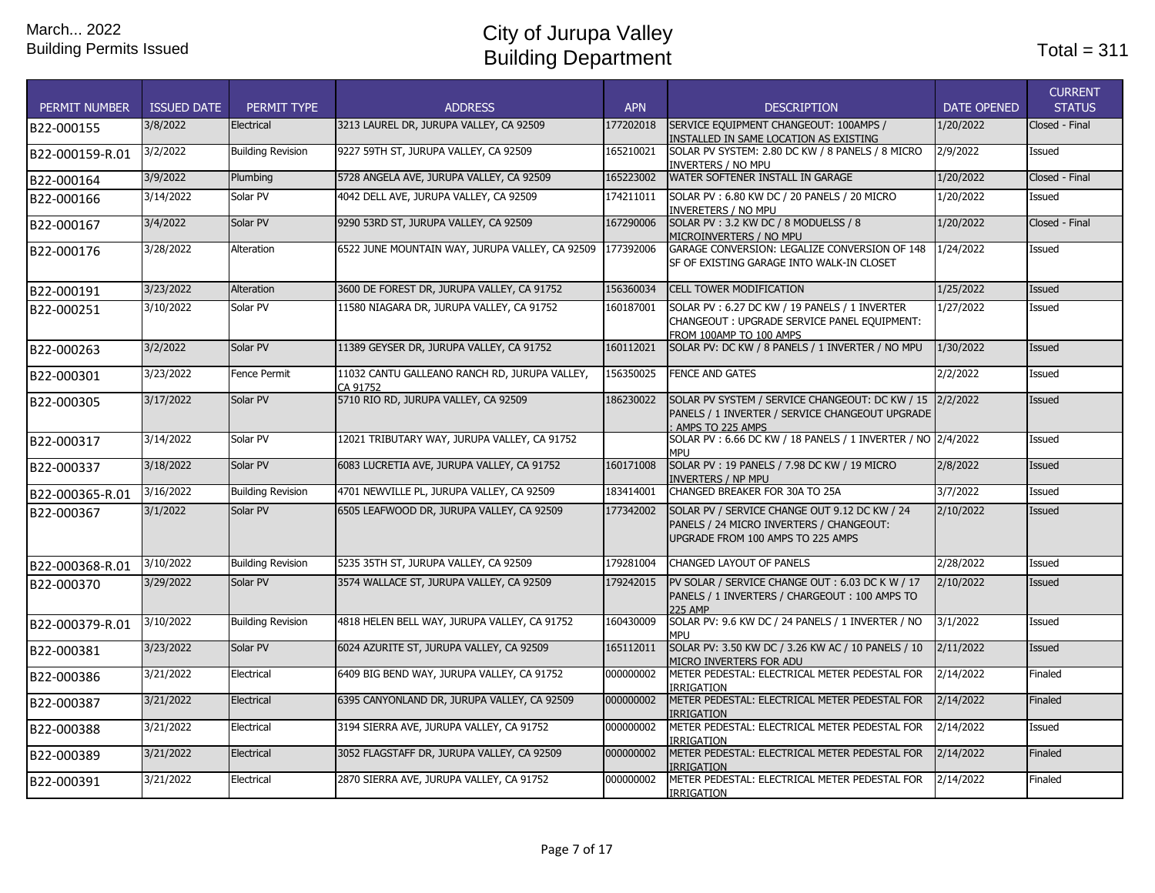| <b>PERMIT NUMBER</b> | <b>ISSUED DATE</b> | PERMIT TYPE              | <b>ADDRESS</b>                                            | <b>APN</b> | <b>DESCRIPTION</b>                                                                                                              | <b>DATE OPENED</b> | <b>CURRENT</b><br><b>STATUS</b> |
|----------------------|--------------------|--------------------------|-----------------------------------------------------------|------------|---------------------------------------------------------------------------------------------------------------------------------|--------------------|---------------------------------|
| B22-000155           | 3/8/2022           | Electrical               | 3213 LAUREL DR, JURUPA VALLEY, CA 92509                   | 177202018  | SERVICE EQUIPMENT CHANGEOUT: 100AMPS /<br>INSTALLED IN SAME LOCATION AS EXISTING                                                | 1/20/2022          | Closed - Final                  |
| B22-000159-R.01      | 3/2/2022           | <b>Building Revision</b> | 9227 59TH ST, JURUPA VALLEY, CA 92509                     | 165210021  | SOLAR PV SYSTEM: 2.80 DC KW / 8 PANELS / 8 MICRO<br><b>INVERTERS / NO MPU</b>                                                   | 2/9/2022           | Issued                          |
| B22-000164           | 3/9/2022           | Plumbing                 | 5728 ANGELA AVE, JURUPA VALLEY, CA 92509                  | 165223002  | WATER SOFTENER INSTALL IN GARAGE                                                                                                | 1/20/2022          | Closed - Final                  |
| B22-000166           | 3/14/2022          | Solar PV                 | 4042 DELL AVE, JURUPA VALLEY, CA 92509                    | 174211011  | SOLAR PV: 6.80 KW DC / 20 PANELS / 20 MICRO<br>INVERETERS / NO MPU                                                              | 1/20/2022          | Issued                          |
| B22-000167           | 3/4/2022           | Solar PV                 | 9290 53RD ST, JURUPA VALLEY, CA 92509                     | 167290006  | SOLAR PV: 3.2 KW DC / 8 MODUELSS / 8<br>MICROINVERTERS / NO MPU                                                                 | 1/20/2022          | Closed - Final                  |
| B22-000176           | 3/28/2022          | Alteration               | 6522 JUNE MOUNTAIN WAY, JURUPA VALLEY, CA 92509           | 177392006  | GARAGE CONVERSION: LEGALIZE CONVERSION OF 148<br>SF OF EXISTING GARAGE INTO WALK-IN CLOSET                                      | 1/24/2022          | Issued                          |
| B22-000191           | 3/23/2022          | Alteration               | 3600 DE FOREST DR, JURUPA VALLEY, CA 91752                | 156360034  | <b>CELL TOWER MODIFICATION</b>                                                                                                  | 1/25/2022          | Issued                          |
| B22-000251           | 3/10/2022          | Solar PV                 | 11580 NIAGARA DR, JURUPA VALLEY, CA 91752                 | 160187001  | SOLAR PV: 6.27 DC KW / 19 PANELS / 1 INVERTER<br>CHANGEOUT: UPGRADE SERVICE PANEL EQUIPMENT:<br>FROM 100AMP TO 100 AMPS         | 1/27/2022          | Issued                          |
| B22-000263           | 3/2/2022           | Solar PV                 | 11389 GEYSER DR, JURUPA VALLEY, CA 91752                  | 160112021  | SOLAR PV: DC KW / 8 PANELS / 1 INVERTER / NO MPU                                                                                | 1/30/2022          | Issued                          |
| B22-000301           | 3/23/2022          | Fence Permit             | 11032 CANTU GALLEANO RANCH RD, JURUPA VALLEY,<br>CA 91752 | 156350025  | <b>FENCE AND GATES</b>                                                                                                          | 2/2/2022           | Issued                          |
| B22-000305           | 3/17/2022          | Solar PV                 | 5710 RIO RD, JURUPA VALLEY, CA 92509                      | 186230022  | SOLAR PV SYSTEM / SERVICE CHANGEOUT: DC KW / 15 2/2/2022<br>PANELS / 1 INVERTER / SERVICE CHANGEOUT UPGRADE<br>AMPS TO 225 AMPS |                    | <b>Issued</b>                   |
| B22-000317           | 3/14/2022          | Solar PV                 | 12021 TRIBUTARY WAY, JURUPA VALLEY, CA 91752              |            | SOLAR PV: 6.66 DC KW / 18 PANELS / 1 INVERTER / NO 2/4/2022<br>MPU                                                              |                    | Issued                          |
| B22-000337           | 3/18/2022          | Solar PV                 | 6083 LUCRETIA AVE, JURUPA VALLEY, CA 91752                | 160171008  | SOLAR PV: 19 PANELS / 7.98 DC KW / 19 MICRO<br><b>INVERTERS / NP MPU</b>                                                        | 2/8/2022           | Issued                          |
| B22-000365-R.01      | 3/16/2022          | <b>Building Revision</b> | 4701 NEWVILLE PL, JURUPA VALLEY, CA 92509                 | 183414001  | CHANGED BREAKER FOR 30A TO 25A                                                                                                  | 3/7/2022           | Issued                          |
| B22-000367           | 3/1/2022           | Solar PV                 | 6505 LEAFWOOD DR, JURUPA VALLEY, CA 92509                 | 177342002  | SOLAR PV / SERVICE CHANGE OUT 9.12 DC KW / 24<br>PANELS / 24 MICRO INVERTERS / CHANGEOUT:<br>UPGRADE FROM 100 AMPS TO 225 AMPS  | 2/10/2022          | Issued                          |
| B22-000368-R.01      | 3/10/2022          | <b>Building Revision</b> | 5235 35TH ST, JURUPA VALLEY, CA 92509                     | 179281004  | CHANGED LAYOUT OF PANELS                                                                                                        | 2/28/2022          | Issued                          |
| B22-000370           | 3/29/2022          | Solar PV                 | 3574 WALLACE ST, JURUPA VALLEY, CA 92509                  | 179242015  | PV SOLAR / SERVICE CHANGE OUT: 6.03 DC K W / 17<br>PANELS / 1 INVERTERS / CHARGEOUT: 100 AMPS TO<br>225 AMP                     | 2/10/2022          | Issued                          |
| B22-000379-R.01      | 3/10/2022          | <b>Building Revision</b> | 4818 HELEN BELL WAY, JURUPA VALLEY, CA 91752              | 160430009  | SOLAR PV: 9.6 KW DC / 24 PANELS / 1 INVERTER / NO<br>MPU                                                                        | 3/1/2022           | Issued                          |
| B22-000381           | 3/23/2022          | Solar PV                 | 6024 AZURITE ST, JURUPA VALLEY, CA 92509                  | 165112011  | SOLAR PV: 3.50 KW DC / 3.26 KW AC / 10 PANELS / 10<br>MICRO INVERTERS FOR ADU                                                   | 2/11/2022          | Issued                          |
| B22-000386           | 3/21/2022          | Electrical               | 6409 BIG BEND WAY, JURUPA VALLEY, CA 91752                | 000000002  | METER PEDESTAL: ELECTRICAL METER PEDESTAL FOR<br><b>IRRIGATION</b>                                                              | 2/14/2022          | Finaled                         |
| B22-000387           | 3/21/2022          | Electrical               | 6395 CANYONLAND DR, JURUPA VALLEY, CA 92509               | 000000002  | METER PEDESTAL: ELECTRICAL METER PEDESTAL FOR<br><b>IRRIGATION</b>                                                              | 2/14/2022          | Finaled                         |
| B22-000388           | 3/21/2022          | Electrical               | 3194 SIERRA AVE, JURUPA VALLEY, CA 91752                  | 000000002  | METER PEDESTAL: ELECTRICAL METER PEDESTAL FOR<br><b>IRRIGATION</b>                                                              | 2/14/2022          | Issued                          |
| B22-000389           | 3/21/2022          | Electrical               | 3052 FLAGSTAFF DR, JURUPA VALLEY, CA 92509                | 000000002  | METER PEDESTAL: ELECTRICAL METER PEDESTAL FOR<br><b>IRRIGATION</b>                                                              | 2/14/2022          | Finaled                         |
| B22-000391           | 3/21/2022          | Electrical               | 2870 SIERRA AVE, JURUPA VALLEY, CA 91752                  | 000000002  | METER PEDESTAL: ELECTRICAL METER PEDESTAL FOR<br><b>IRRIGATION</b>                                                              | 2/14/2022          | Finaled                         |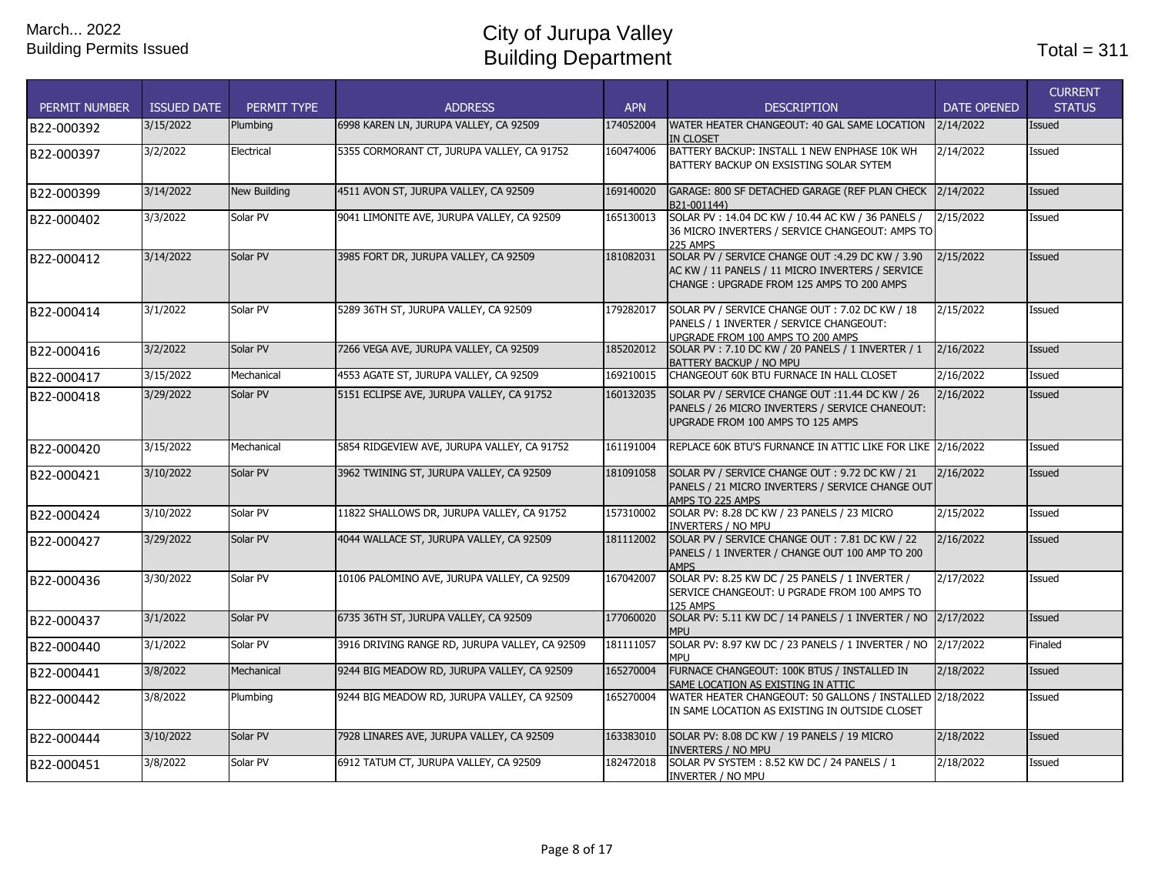| <b>PERMIT NUMBER</b> | <b>ISSUED DATE</b> | PERMIT TYPE         | <b>ADDRESS</b>                                 | <b>APN</b> | <b>DESCRIPTION</b>                                                                                                                                | <b>DATE OPENED</b> | <b>CURRENT</b><br><b>STATUS</b> |
|----------------------|--------------------|---------------------|------------------------------------------------|------------|---------------------------------------------------------------------------------------------------------------------------------------------------|--------------------|---------------------------------|
| B22-000392           | 3/15/2022          | Plumbing            | 6998 KAREN LN, JURUPA VALLEY, CA 92509         | 174052004  | WATER HEATER CHANGEOUT: 40 GAL SAME LOCATION<br><b>IN CLOSET</b>                                                                                  | 2/14/2022          | Issued                          |
| B22-000397           | 3/2/2022           | Electrical          | 5355 CORMORANT CT, JURUPA VALLEY, CA 91752     | 160474006  | BATTERY BACKUP: INSTALL 1 NEW ENPHASE 10K WH<br>BATTERY BACKUP ON EXSISTING SOLAR SYTEM                                                           | 2/14/2022          | Issued                          |
| B22-000399           | 3/14/2022          | <b>New Building</b> | 4511 AVON ST, JURUPA VALLEY, CA 92509          | 169140020  | GARAGE: 800 SF DETACHED GARAGE (REF PLAN CHECK 2/14/2022<br>B21-001144)                                                                           |                    | Issued                          |
| B22-000402           | 3/3/2022           | Solar PV            | 9041 LIMONITE AVE, JURUPA VALLEY, CA 92509     | 165130013  | SOLAR PV: 14.04 DC KW / 10.44 AC KW / 36 PANELS /<br>36 MICRO INVERTERS / SERVICE CHANGEOUT: AMPS TO<br>225 AMPS                                  | 2/15/2022          | Issued                          |
| B22-000412           | 3/14/2022          | Solar PV            | 3985 FORT DR, JURUPA VALLEY, CA 92509          | 181082031  | SOLAR PV / SERVICE CHANGE OUT :4.29 DC KW / 3.90<br>AC KW / 11 PANELS / 11 MICRO INVERTERS / SERVICE<br>CHANGE: UPGRADE FROM 125 AMPS TO 200 AMPS | 2/15/2022          | Issued                          |
| B22-000414           | 3/1/2022           | Solar PV            | 5289 36TH ST, JURUPA VALLEY, CA 92509          | 179282017  | SOLAR PV / SERVICE CHANGE OUT: 7.02 DC KW / 18<br>PANELS / 1 INVERTER / SERVICE CHANGEOUT:<br>UPGRADE FROM 100 AMPS TO 200 AMPS                   | 2/15/2022          | Issued                          |
| B22-000416           | 3/2/2022           | Solar PV            | 7266 VEGA AVE, JURUPA VALLEY, CA 92509         | 185202012  | SOLAR PV: 7.10 DC KW / 20 PANELS / 1 INVERTER / 1<br>BATTERY BACKUP / NO MPU                                                                      | 2/16/2022          | <b>Issued</b>                   |
| B22-000417           | 3/15/2022          | Mechanical          | 4553 AGATE ST, JURUPA VALLEY, CA 92509         | 169210015  | CHANGEOUT 60K BTU FURNACE IN HALL CLOSET                                                                                                          | 2/16/2022          | Issued                          |
| B22-000418           | 3/29/2022          | Solar PV            | 5151 ECLIPSE AVE, JURUPA VALLEY, CA 91752      | 160132035  | SOLAR PV / SERVICE CHANGE OUT :11.44 DC KW / 26<br>PANELS / 26 MICRO INVERTERS / SERVICE CHANEOUT:<br>UPGRADE FROM 100 AMPS TO 125 AMPS           | 2/16/2022          | <b>Issued</b>                   |
| B22-000420           | 3/15/2022          | Mechanical          | 5854 RIDGEVIEW AVE, JURUPA VALLEY, CA 91752    | 161191004  | REPLACE 60K BTU'S FURNANCE IN ATTIC LIKE FOR LIKE 2/16/2022                                                                                       |                    | Issued                          |
| B22-000421           | 3/10/2022          | Solar PV            | 3962 TWINING ST, JURUPA VALLEY, CA 92509       | 181091058  | SOLAR PV / SERVICE CHANGE OUT: 9.72 DC KW / 21<br>PANELS / 21 MICRO INVERTERS / SERVICE CHANGE OUT<br>AMPS TO 225 AMPS                            | 2/16/2022          | <b>Issued</b>                   |
| B22-000424           | 3/10/2022          | Solar PV            | 11822 SHALLOWS DR, JURUPA VALLEY, CA 91752     | 157310002  | SOLAR PV: 8.28 DC KW / 23 PANELS / 23 MICRO<br><b>INVERTERS / NO MPU</b>                                                                          | 2/15/2022          | Issued                          |
| B22-000427           | 3/29/2022          | Solar PV            | 4044 WALLACE ST, JURUPA VALLEY, CA 92509       | 181112002  | SOLAR PV / SERVICE CHANGE OUT: 7.81 DC KW / 22<br>PANELS / 1 INVERTER / CHANGE OUT 100 AMP TO 200<br><b>AMPS</b>                                  | 2/16/2022          | <b>Issued</b>                   |
| B22-000436           | 3/30/2022          | Solar PV            | 10106 PALOMINO AVE, JURUPA VALLEY, CA 92509    | 167042007  | SOLAR PV: 8.25 KW DC / 25 PANELS / 1 INVERTER /<br>SERVICE CHANGEOUT: U PGRADE FROM 100 AMPS TO<br><b>125 AMPS</b>                                | 2/17/2022          | Issued                          |
| B22-000437           | 3/1/2022           | Solar PV            | 6735 36TH ST, JURUPA VALLEY, CA 92509          | 177060020  | SOLAR PV: 5.11 KW DC / 14 PANELS / 1 INVERTER / NO 2/17/2022<br><b>MPI</b>                                                                        |                    | Issued                          |
| B22-000440           | 3/1/2022           | Solar PV            | 3916 DRIVING RANGE RD, JURUPA VALLEY, CA 92509 | 181111057  | SOLAR PV: 8.97 KW DC / 23 PANELS / 1 INVERTER / NO 2/17/2022<br>MPU                                                                               |                    | Finaled                         |
| B22-000441           | 3/8/2022           | Mechanical          | 9244 BIG MEADOW RD, JURUPA VALLEY, CA 92509    | 165270004  | FURNACE CHANGEOUT: 100K BTUS / INSTALLED IN<br>SAME LOCATION AS EXISTING IN ATTIC                                                                 | 2/18/2022          | <b>Issued</b>                   |
| B22-000442           | 3/8/2022           | Plumbing            | 9244 BIG MEADOW RD, JURUPA VALLEY, CA 92509    | 165270004  | WATER HEATER CHANGEOUT: 50 GALLONS / INSTALLED 2/18/2022<br>IN SAME LOCATION AS EXISTING IN OUTSIDE CLOSET                                        |                    | Issued                          |
| B22-000444           | 3/10/2022          | Solar PV            | 7928 LINARES AVE, JURUPA VALLEY, CA 92509      | 163383010  | SOLAR PV: 8.08 DC KW / 19 PANELS / 19 MICRO<br><b>INVERTERS / NO MPU</b>                                                                          | 2/18/2022          | Issued                          |
| B22-000451           | 3/8/2022           | Solar PV            | 6912 TATUM CT, JURUPA VALLEY, CA 92509         | 182472018  | SOLAR PV SYSTEM: 8.52 KW DC / 24 PANELS / 1<br>INVERTER / NO MPU                                                                                  | 2/18/2022          | Issued                          |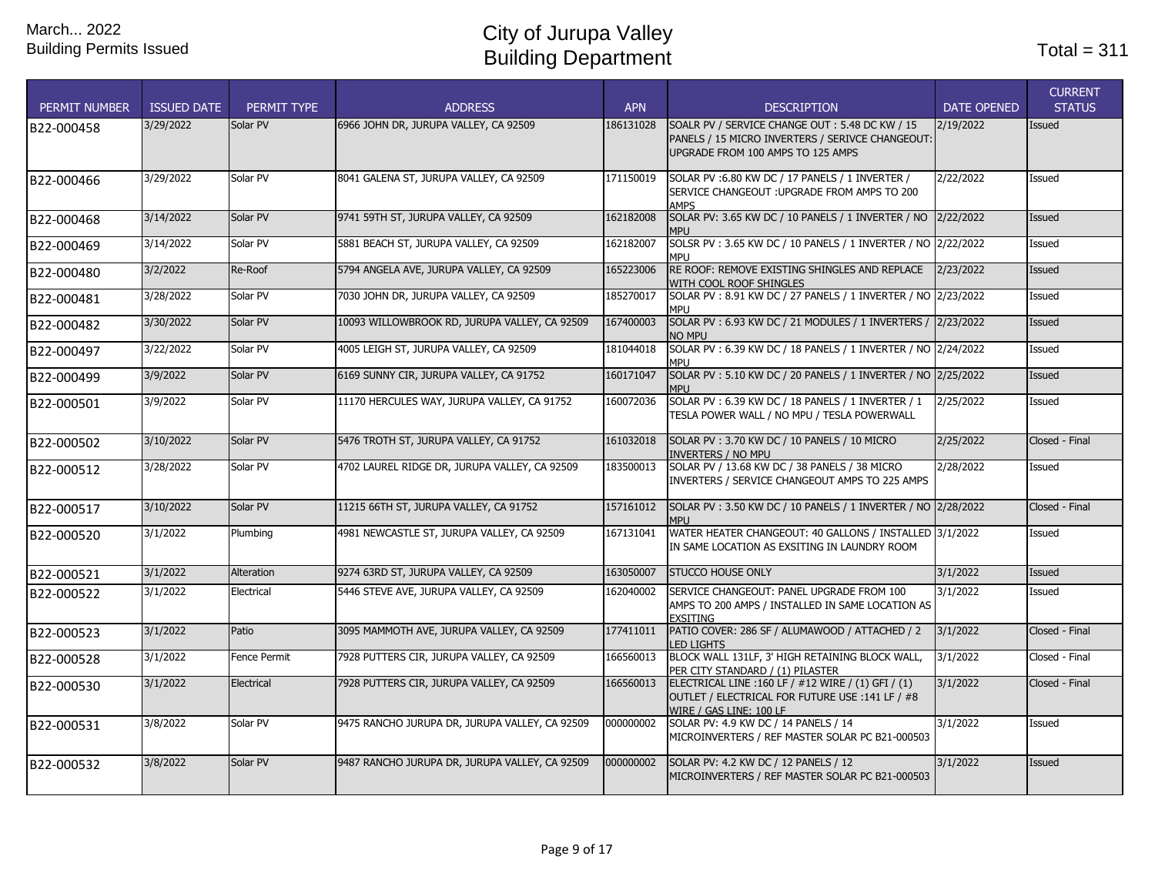| <b>PERMIT NUMBER</b> | <b>ISSUED DATE</b> | PERMIT TYPE  | <b>ADDRESS</b>                                 | <b>APN</b> | <b>DESCRIPTION</b>                                                                                                                      | <b>DATE OPENED</b> | <b>CURRENT</b><br><b>STATUS</b> |
|----------------------|--------------------|--------------|------------------------------------------------|------------|-----------------------------------------------------------------------------------------------------------------------------------------|--------------------|---------------------------------|
| B22-000458           | 3/29/2022          | Solar PV     | 6966 JOHN DR, JURUPA VALLEY, CA 92509          | 186131028  | SOALR PV / SERVICE CHANGE OUT: 5.48 DC KW / 15<br>PANELS / 15 MICRO INVERTERS / SERIVCE CHANGEOUT:<br>UPGRADE FROM 100 AMPS TO 125 AMPS | 2/19/2022          | <b>Issued</b>                   |
| B22-000466           | 3/29/2022          | Solar PV     | 8041 GALENA ST, JURUPA VALLEY, CA 92509        | 171150019  | SOLAR PV: 6.80 KW DC / 17 PANELS / 1 INVERTER /<br>SERVICE CHANGEOUT : UPGRADE FROM AMPS TO 200<br><b>AMPS</b>                          | 2/22/2022          | Issued                          |
| B22-000468           | 3/14/2022          | Solar PV     | 9741 59TH ST, JURUPA VALLEY, CA 92509          | 162182008  | SOLAR PV: 3.65 KW DC / 10 PANELS / 1 INVERTER / NO 2/22/2022<br><b>MPI</b>                                                              |                    | <b>Issued</b>                   |
| B22-000469           | 3/14/2022          | Solar PV     | 5881 BEACH ST, JURUPA VALLEY, CA 92509         | 162182007  | SOLSR PV: 3.65 KW DC / 10 PANELS / 1 INVERTER / NO 2/22/2022<br><b>MPI J</b>                                                            |                    | Issued                          |
| B22-000480           | 3/2/2022           | Re-Roof      | 5794 ANGELA AVE, JURUPA VALLEY, CA 92509       | 165223006  | RE ROOF: REMOVE EXISTING SHINGLES AND REPLACE<br>WITH COOL ROOF SHINGLES                                                                | 2/23/2022          | Issued                          |
| B22-000481           | 3/28/2022          | Solar PV     | 7030 JOHN DR, JURUPA VALLEY, CA 92509          | 185270017  | SOLAR PV: 8.91 KW DC / 27 PANELS / 1 INVERTER / NO 2/23/2022<br>mpu                                                                     |                    | Issued                          |
| B22-000482           | 3/30/2022          | Solar PV     | 10093 WILLOWBROOK RD, JURUPA VALLEY, CA 92509  | 167400003  | SOLAR PV: 6.93 KW DC / 21 MODULES / 1 INVERTERS / 2/23/2022<br>NO MPU                                                                   |                    | <b>Issued</b>                   |
| B22-000497           | 3/22/2022          | Solar PV     | 4005 LEIGH ST, JURUPA VALLEY, CA 92509         | 181044018  | SOLAR PV: 6.39 KW DC / 18 PANELS / 1 INVERTER / NO 2/24/2022<br>MPI J                                                                   |                    | Issued                          |
| B22-000499           | 3/9/2022           | Solar PV     | 6169 SUNNY CIR, JURUPA VALLEY, CA 91752        | 160171047  | SOLAR PV: 5.10 KW DC / 20 PANELS / 1 INVERTER / NO 2/25/2022<br><b>MPU</b>                                                              |                    | Issued                          |
| B22-000501           | 3/9/2022           | Solar PV     | 11170 HERCULES WAY, JURUPA VALLEY, CA 91752    | 160072036  | SOLAR PV: 6.39 KW DC / 18 PANELS / 1 INVERTER / 1<br>TESLA POWER WALL / NO MPU / TESLA POWERWALL                                        | 2/25/2022          | Issued                          |
| B22-000502           | 3/10/2022          | Solar PV     | 5476 TROTH ST, JURUPA VALLEY, CA 91752         | 161032018  | SOLAR PV: 3.70 KW DC / 10 PANELS / 10 MICRO<br><b>INVERTERS / NO MPU</b>                                                                | 2/25/2022          | Closed - Final                  |
| B22-000512           | 3/28/2022          | Solar PV     | 4702 LAUREL RIDGE DR, JURUPA VALLEY, CA 92509  | 183500013  | SOLAR PV / 13.68 KW DC / 38 PANELS / 38 MICRO<br>INVERTERS / SERVICE CHANGEOUT AMPS TO 225 AMPS                                         | 2/28/2022          | Issued                          |
| B22-000517           | 3/10/2022          | Solar PV     | 11215 66TH ST, JURUPA VALLEY, CA 91752         | 157161012  | SOLAR PV: 3.50 KW DC / 10 PANELS / 1 INVERTER / NO 2/28/2022<br><b>MPI</b>                                                              |                    | Closed - Final                  |
| B22-000520           | 3/1/2022           | Plumbing     | 4981 NEWCASTLE ST, JURUPA VALLEY, CA 92509     | 167131041  | WATER HEATER CHANGEOUT: 40 GALLONS / INSTALLED 3/1/2022<br>IN SAME LOCATION AS EXSITING IN LAUNDRY ROOM                                 |                    | Issued                          |
| B22-000521           | 3/1/2022           | Alteration   | 9274 63RD ST, JURUPA VALLEY, CA 92509          | 163050007  | <b>STUCCO HOUSE ONLY</b>                                                                                                                | 3/1/2022           | <b>Issued</b>                   |
| B22-000522           | 3/1/2022           | Electrical   | 5446 STEVE AVE, JURUPA VALLEY, CA 92509        | 162040002  | SERVICE CHANGEOUT: PANEL UPGRADE FROM 100<br>AMPS TO 200 AMPS / INSTALLED IN SAME LOCATION AS<br><b>EXSITING</b>                        | 3/1/2022           | Issued                          |
| B22-000523           | 3/1/2022           | Patio        | 3095 MAMMOTH AVE, JURUPA VALLEY, CA 92509      | 177411011  | PATIO COVER: 286 SF / ALUMAWOOD / ATTACHED / 2<br><b>LED LIGHTS</b>                                                                     | 3/1/2022           | Closed - Final                  |
| B22-000528           | 3/1/2022           | Fence Permit | 7928 PUTTERS CIR, JURUPA VALLEY, CA 92509      | 166560013  | BLOCK WALL 131LF, 3' HIGH RETAINING BLOCK WALL,<br>PER CITY STANDARD / (1) PILASTER                                                     | 3/1/2022           | Closed - Final                  |
| B22-000530           | 3/1/2022           | Electrical   | 7928 PUTTERS CIR, JURUPA VALLEY, CA 92509      | 166560013  | ELECTRICAL LINE : 160 LF / #12 WIRE / (1) GFI / (1)<br>OUTLET / ELECTRICAL FOR FUTURE USE : 141 LF / #8<br>WIRE / GAS LINE: 100 LF      | 3/1/2022           | Closed - Final                  |
| B22-000531           | 3/8/2022           | Solar PV     | 9475 RANCHO JURUPA DR, JURUPA VALLEY, CA 92509 | 000000002  | SOLAR PV: 4.9 KW DC / 14 PANELS / 14<br>MICROINVERTERS / REF MASTER SOLAR PC B21-000503                                                 | 3/1/2022           | Issued                          |
| B22-000532           | 3/8/2022           | Solar PV     | 9487 RANCHO JURUPA DR, JURUPA VALLEY, CA 92509 | 000000002  | SOLAR PV: 4.2 KW DC / 12 PANELS / 12<br>MICROINVERTERS / REF MASTER SOLAR PC B21-000503                                                 | 3/1/2022           | <b>Issued</b>                   |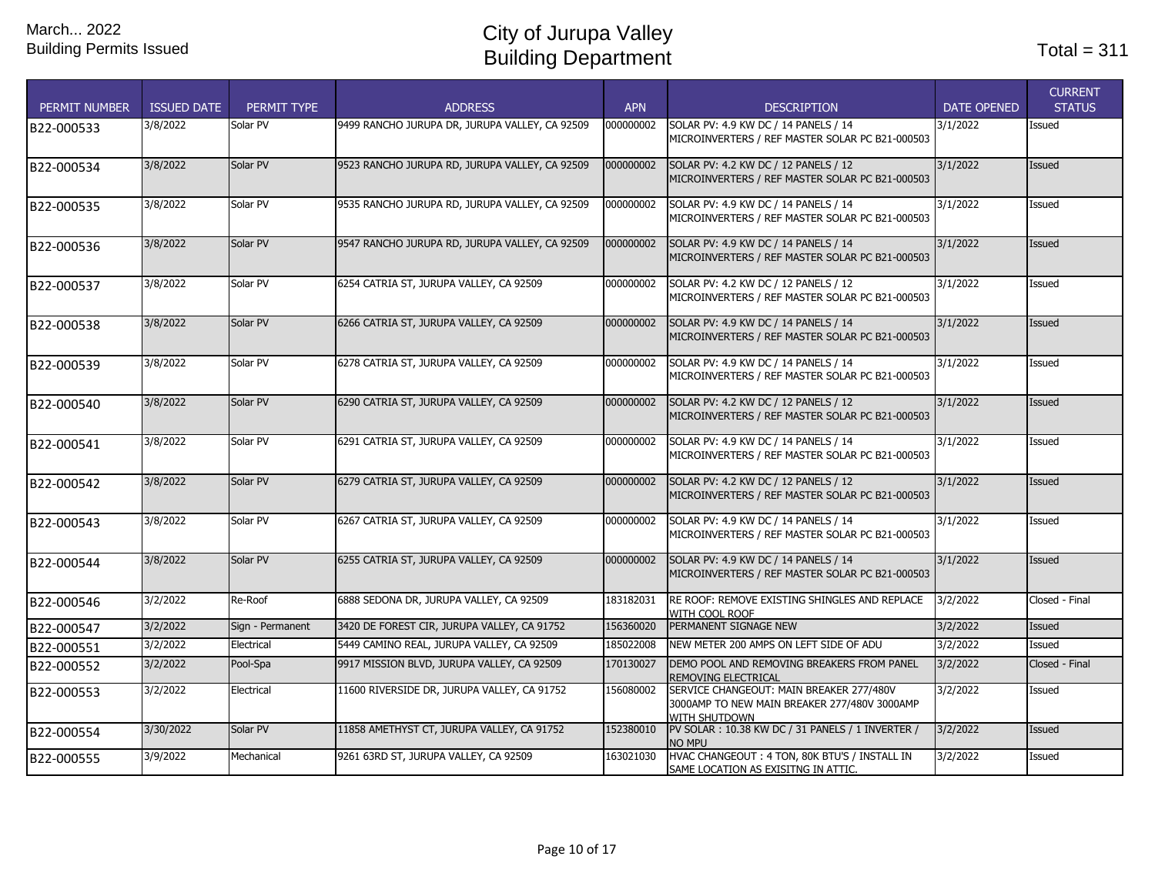| <b>PERMIT NUMBER</b> | <b>ISSUED DATE</b> | PERMIT TYPE      | <b>ADDRESS</b>                                 | <b>APN</b> | <b>DESCRIPTION</b>                                                                                               | <b>DATE OPENED</b> | <b>CURRENT</b><br><b>STATUS</b> |
|----------------------|--------------------|------------------|------------------------------------------------|------------|------------------------------------------------------------------------------------------------------------------|--------------------|---------------------------------|
| B22-000533           | 3/8/2022           | Solar PV         | 9499 RANCHO JURUPA DR, JURUPA VALLEY, CA 92509 | 000000002  | SOLAR PV: 4.9 KW DC / 14 PANELS / 14<br>MICROINVERTERS / REF MASTER SOLAR PC B21-000503                          | 3/1/2022           | Issued                          |
| B22-000534           | 3/8/2022           | Solar PV         | 9523 RANCHO JURUPA RD, JURUPA VALLEY, CA 92509 | 000000002  | SOLAR PV: 4.2 KW DC / 12 PANELS / 12<br>MICROINVERTERS / REF MASTER SOLAR PC B21-000503                          | 3/1/2022           | <b>Issued</b>                   |
| B22-000535           | 3/8/2022           | Solar PV         | 9535 RANCHO JURUPA RD, JURUPA VALLEY, CA 92509 | 000000002  | SOLAR PV: 4.9 KW DC / 14 PANELS / 14<br>MICROINVERTERS / REF MASTER SOLAR PC B21-000503                          | 3/1/2022           | Issued                          |
| B22-000536           | 3/8/2022           | Solar PV         | 9547 RANCHO JURUPA RD, JURUPA VALLEY, CA 92509 | 000000002  | SOLAR PV: 4.9 KW DC / 14 PANELS / 14<br>MICROINVERTERS / REF MASTER SOLAR PC B21-000503                          | 3/1/2022           | Issued                          |
| B22-000537           | 3/8/2022           | Solar PV         | 6254 CATRIA ST, JURUPA VALLEY, CA 92509        | 000000002  | SOLAR PV: 4.2 KW DC / 12 PANELS / 12<br>MICROINVERTERS / REF MASTER SOLAR PC B21-000503                          | 3/1/2022           | Issued                          |
| B22-000538           | 3/8/2022           | Solar PV         | 6266 CATRIA ST, JURUPA VALLEY, CA 92509        | 000000002  | SOLAR PV: 4.9 KW DC / 14 PANELS / 14<br>MICROINVERTERS / REF MASTER SOLAR PC B21-000503                          | 3/1/2022           | Issued                          |
| B22-000539           | 3/8/2022           | Solar PV         | 6278 CATRIA ST, JURUPA VALLEY, CA 92509        | 000000002  | SOLAR PV: 4.9 KW DC / 14 PANELS / 14<br>MICROINVERTERS / REF MASTER SOLAR PC B21-000503                          | 3/1/2022           | Issued                          |
| B22-000540           | 3/8/2022           | Solar PV         | 6290 CATRIA ST, JURUPA VALLEY, CA 92509        | 000000002  | SOLAR PV: 4.2 KW DC / 12 PANELS / 12<br>MICROINVERTERS / REF MASTER SOLAR PC B21-000503                          | 3/1/2022           | Issued                          |
| B22-000541           | 3/8/2022           | Solar PV         | 6291 CATRIA ST, JURUPA VALLEY, CA 92509        | 000000002  | SOLAR PV: 4.9 KW DC / 14 PANELS / 14<br>MICROINVERTERS / REF MASTER SOLAR PC B21-000503                          | 3/1/2022           | Issued                          |
| B22-000542           | 3/8/2022           | Solar PV         | 6279 CATRIA ST, JURUPA VALLEY, CA 92509        | 000000002  | SOLAR PV: 4.2 KW DC / 12 PANELS / 12<br>MICROINVERTERS / REF MASTER SOLAR PC B21-000503                          | 3/1/2022           | Issued                          |
| B22-000543           | 3/8/2022           | Solar PV         | 6267 CATRIA ST, JURUPA VALLEY, CA 92509        | 000000002  | SOLAR PV: 4.9 KW DC / 14 PANELS / 14<br>MICROINVERTERS / REF MASTER SOLAR PC B21-000503                          | 3/1/2022           | Issued                          |
| B22-000544           | 3/8/2022           | Solar PV         | 6255 CATRIA ST, JURUPA VALLEY, CA 92509        | 000000002  | SOLAR PV: 4.9 KW DC / 14 PANELS / 14<br>MICROINVERTERS / REF MASTER SOLAR PC B21-000503                          | 3/1/2022           | Issued                          |
| B22-000546           | 3/2/2022           | Re-Roof          | 6888 SEDONA DR, JURUPA VALLEY, CA 92509        | 183182031  | RE ROOF: REMOVE EXISTING SHINGLES AND REPLACE<br>WITH COOL ROOF                                                  | 3/2/2022           | Closed - Final                  |
| B22-000547           | 3/2/2022           | Sign - Permanent | 3420 DE FOREST CIR, JURUPA VALLEY, CA 91752    | 156360020  | PERMANENT SIGNAGE NEW                                                                                            | 3/2/2022           | Issued                          |
| B22-000551           | 3/2/2022           | Electrical       | 5449 CAMINO REAL, JURUPA VALLEY, CA 92509      | 185022008  | NEW METER 200 AMPS ON LEFT SIDE OF ADU                                                                           | 3/2/2022           | Issued                          |
| B22-000552           | 3/2/2022           | Pool-Spa         | 9917 MISSION BLVD, JURUPA VALLEY, CA 92509     | 170130027  | DEMO POOL AND REMOVING BREAKERS FROM PANEL<br>REMOVING ELECTRICAL                                                | 3/2/2022           | Closed - Final                  |
| B22-000553           | 3/2/2022           | Electrical       | 11600 RIVERSIDE DR, JURUPA VALLEY, CA 91752    | 156080002  | SERVICE CHANGEOUT: MAIN BREAKER 277/480V<br>3000AMP TO NEW MAIN BREAKER 277/480V 3000AMP<br><b>WITH SHUTDOWN</b> | 3/2/2022           | Issued                          |
| B22-000554           | 3/30/2022          | Solar PV         | 11858 AMETHYST CT, JURUPA VALLEY, CA 91752     | 152380010  | PV SOLAR: 10.38 KW DC / 31 PANELS / 1 INVERTER /<br>NO MPU                                                       | 3/2/2022           | Issued                          |
| B22-000555           | 3/9/2022           | Mechanical       | 9261 63RD ST, JURUPA VALLEY, CA 92509          | 163021030  | HVAC CHANGEOUT: 4 TON, 80K BTU'S / INSTALL IN<br>SAME LOCATION AS EXISITNG IN ATTIC.                             | 3/2/2022           | Issued                          |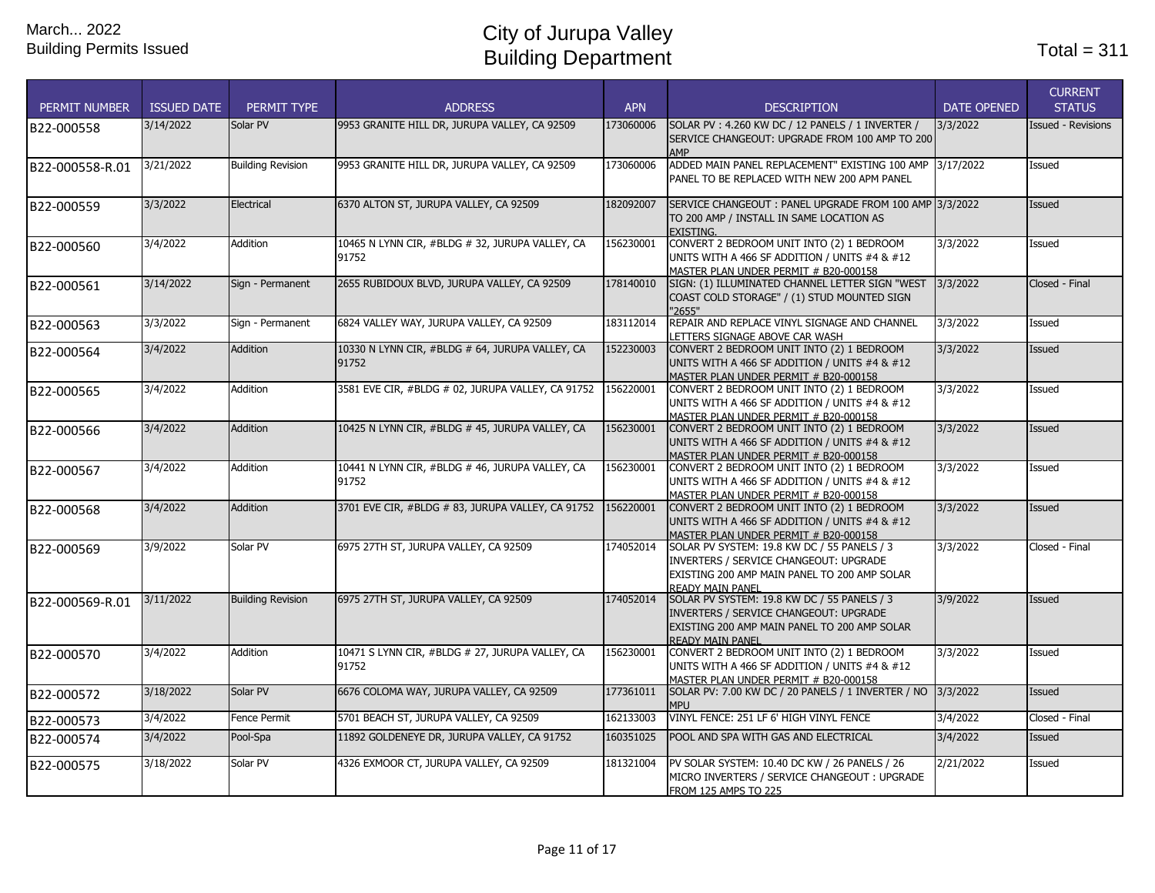| <b>PERMIT NUMBER</b> | <b>ISSUED DATE</b> | PERMIT TYPE              | <b>ADDRESS</b>                                              | <b>APN</b> | <b>DESCRIPTION</b>                                                                                                                                               | <b>DATE OPENED</b> | <b>CURRENT</b><br><b>STATUS</b> |
|----------------------|--------------------|--------------------------|-------------------------------------------------------------|------------|------------------------------------------------------------------------------------------------------------------------------------------------------------------|--------------------|---------------------------------|
| B22-000558           | 3/14/2022          | Solar PV                 | 9953 GRANITE HILL DR, JURUPA VALLEY, CA 92509               | 173060006  | SOLAR PV: 4.260 KW DC / 12 PANELS / 1 INVERTER /<br>SERVICE CHANGEOUT: UPGRADE FROM 100 AMP TO 200<br><b>AMP</b>                                                 | 3/3/2022           | <b>Issued - Revisions</b>       |
| B22-000558-R.01      | 3/21/2022          | <b>Building Revision</b> | 9953 GRANITE HILL DR, JURUPA VALLEY, CA 92509               | 173060006  | ADDED MAIN PANEL REPLACEMENT" EXISTING 100 AMP 3/17/2022<br>PANEL TO BE REPLACED WITH NEW 200 APM PANEL                                                          |                    | Issued                          |
| B22-000559           | 3/3/2022           | Electrical               | 6370 ALTON ST, JURUPA VALLEY, CA 92509                      | 182092007  | SERVICE CHANGEOUT : PANEL UPGRADE FROM 100 AMP 3/3/2022<br>TO 200 AMP / INSTALL IN SAME LOCATION AS<br>EXISTING.                                                 |                    | <b>Issued</b>                   |
| B22-000560           | 3/4/2022           | Addition                 | 10465 N LYNN CIR, #BLDG # 32, JURUPA VALLEY, CA<br>91752    | 156230001  | CONVERT 2 BEDROOM UNIT INTO (2) 1 BEDROOM<br>UNITS WITH A 466 SF ADDITION / UNITS #4 & #12<br>MASTER PLAN UNDER PERMIT # B20-000158                              | 3/3/2022           | Issued                          |
| B22-000561           | 3/14/2022          | Sign - Permanent         | 2655 RUBIDOUX BLVD, JURUPA VALLEY, CA 92509                 | 178140010  | SIGN: (1) ILLUMINATED CHANNEL LETTER SIGN "WEST<br>COAST COLD STORAGE" / (1) STUD MOUNTED SIGN<br>"2655"                                                         | 3/3/2022           | Closed - Final                  |
| B22-000563           | 3/3/2022           | Sign - Permanent         | 6824 VALLEY WAY, JURUPA VALLEY, CA 92509                    | 183112014  | REPAIR AND REPLACE VINYL SIGNAGE AND CHANNEL<br>LETTERS SIGNAGE ABOVE CAR WASH                                                                                   | 3/3/2022           | Issued                          |
| B22-000564           | 3/4/2022           | <b>Addition</b>          | 10330 N LYNN CIR, #BLDG # 64, JURUPA VALLEY, CA<br>91752    | 152230003  | CONVERT 2 BEDROOM UNIT INTO (2) 1 BEDROOM<br>UNITS WITH A 466 SF ADDITION / UNITS #4 & #12<br>MASTER PLAN UNDER PERMIT # B20-000158                              | 3/3/2022           | Issued                          |
| B22-000565           | 3/4/2022           | Addition                 | 3581 EVE CIR, #BLDG # 02, JURUPA VALLEY, CA 91752 156220001 |            | CONVERT 2 BEDROOM UNIT INTO (2) 1 BEDROOM<br>UNITS WITH A 466 SF ADDITION / UNITS #4 & #12<br>MASTER PLAN UNDER PERMIT # B20-000158                              | 3/3/2022           | Issued                          |
| B22-000566           | 3/4/2022           | Addition                 | 10425 N LYNN CIR, #BLDG # 45, JURUPA VALLEY, CA             | 156230001  | CONVERT 2 BEDROOM UNIT INTO (2) 1 BEDROOM<br>UNITS WITH A 466 SF ADDITION / UNITS #4 & #12<br>MASTER PLAN UNDER PERMIT # B20-000158                              | 3/3/2022           | Issued                          |
| B22-000567           | 3/4/2022           | Addition                 | 10441 N LYNN CIR, #BLDG # 46, JURUPA VALLEY, CA<br>91752    | 156230001  | CONVERT 2 BEDROOM UNIT INTO (2) 1 BEDROOM<br>UNITS WITH A 466 SF ADDITION / UNITS #4 & #12<br>MASTER PLAN UNDER PERMIT # B20-000158                              | 3/3/2022           | Issued                          |
| B22-000568           | 3/4/2022           | Addition                 | 3701 EVE CIR, #BLDG # 83, JURUPA VALLEY, CA 91752           | 156220001  | CONVERT 2 BEDROOM UNIT INTO (2) 1 BEDROOM<br>UNITS WITH A 466 SF ADDITION / UNITS #4 & #12<br>MASTER PLAN UNDER PERMIT # B20-000158                              | 3/3/2022           | Issued                          |
| B22-000569           | 3/9/2022           | Solar PV                 | 6975 27TH ST, JURUPA VALLEY, CA 92509                       | 174052014  | SOLAR PV SYSTEM: 19.8 KW DC / 55 PANELS / 3<br>INVERTERS / SERVICE CHANGEOUT: UPGRADE<br>EXISTING 200 AMP MAIN PANEL TO 200 AMP SOLAR<br>READY MAIN PANEL        | 3/3/2022           | Closed - Final                  |
| B22-000569-R.01      | 3/11/2022          | <b>Building Revision</b> | 6975 27TH ST, JURUPA VALLEY, CA 92509                       | 174052014  | SOLAR PV SYSTEM: 19.8 KW DC / 55 PANELS / 3<br>INVERTERS / SERVICE CHANGEOUT: UPGRADE<br>EXISTING 200 AMP MAIN PANEL TO 200 AMP SOLAR<br><b>READY MAIN PANEL</b> | 3/9/2022           | Issued                          |
| B22-000570           | 3/4/2022           | Addition                 | 10471 S LYNN CIR, #BLDG # 27, JURUPA VALLEY, CA<br>91752    | 156230001  | CONVERT 2 BEDROOM UNIT INTO (2) 1 BEDROOM<br>UNITS WITH A 466 SF ADDITION / UNITS #4 & #12<br>MASTER PLAN UNDER PERMIT # B20-000158                              | 3/3/2022           | Issued                          |
| B22-000572           | 3/18/2022          | Solar PV                 | 6676 COLOMA WAY, JURUPA VALLEY, CA 92509                    | 177361011  | SOLAR PV: 7.00 KW DC / 20 PANELS / 1 INVERTER / NO<br><b>MPU</b>                                                                                                 | 3/3/2022           | Issued                          |
| B22-000573           | 3/4/2022           | Fence Permit             | 5701 BEACH ST, JURUPA VALLEY, CA 92509                      | 162133003  | VINYL FENCE: 251 LF 6' HIGH VINYL FENCE                                                                                                                          | 3/4/2022           | Closed - Final                  |
| B22-000574           | 3/4/2022           | Pool-Spa                 | 11892 GOLDENEYE DR, JURUPA VALLEY, CA 91752                 | 160351025  | POOL AND SPA WITH GAS AND ELECTRICAL                                                                                                                             | 3/4/2022           | Issued                          |
| B22-000575           | 3/18/2022          | Solar PV                 | 4326 EXMOOR CT, JURUPA VALLEY, CA 92509                     | 181321004  | PV SOLAR SYSTEM: 10.40 DC KW / 26 PANELS / 26<br>MICRO INVERTERS / SERVICE CHANGEOUT : UPGRADE<br><b>FROM 125 AMPS TO 225</b>                                    | 2/21/2022          | Issued                          |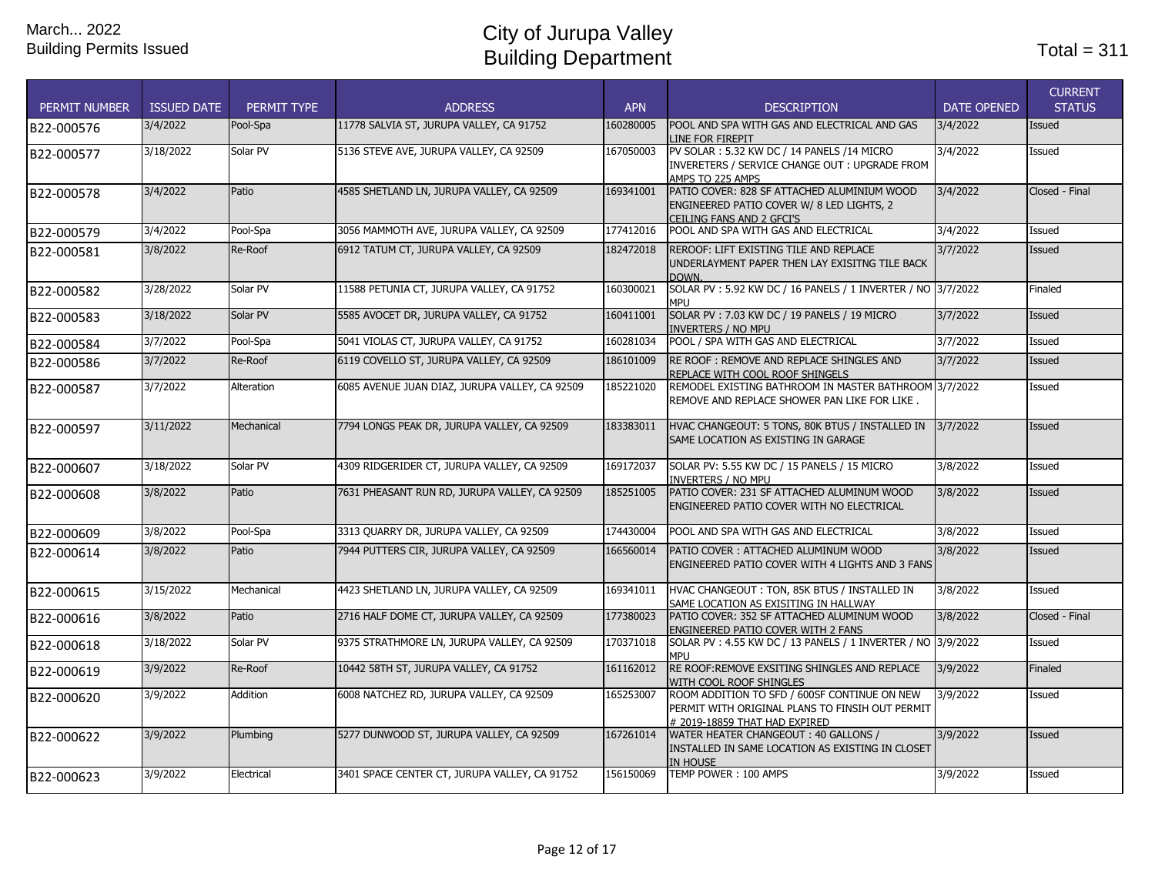| <b>PERMIT NUMBER</b> | <b>ISSUED DATE</b> | PERMIT TYPE | <b>ADDRESS</b>                                 | <b>APN</b> | <b>DESCRIPTION</b>                                                                                                               | <b>DATE OPENED</b> | <b>CURRENT</b><br><b>STATUS</b> |
|----------------------|--------------------|-------------|------------------------------------------------|------------|----------------------------------------------------------------------------------------------------------------------------------|--------------------|---------------------------------|
| B22-000576           | 3/4/2022           | Pool-Spa    | 11778 SALVIA ST, JURUPA VALLEY, CA 91752       | 160280005  | POOL AND SPA WITH GAS AND ELECTRICAL AND GAS<br>INE FOR FIREPIT.                                                                 | 3/4/2022           | Issued                          |
| B22-000577           | 3/18/2022          | Solar PV    | 5136 STEVE AVE, JURUPA VALLEY, CA 92509        | 167050003  | PV SOLAR: 5.32 KW DC / 14 PANELS /14 MICRO<br>INVERETERS / SERVICE CHANGE OUT: UPGRADE FROM<br>AMPS TO 225 AMPS                  | 3/4/2022           | Issued                          |
| B22-000578           | 3/4/2022           | Patio       | 4585 SHETLAND LN, JURUPA VALLEY, CA 92509      | 169341001  | PATIO COVER: 828 SF ATTACHED ALUMINIUM WOOD<br>ENGINEERED PATIO COVER W/ 8 LED LIGHTS, 2<br>CEILING FANS AND 2 GFCI'S            | 3/4/2022           | Closed - Final                  |
| B22-000579           | 3/4/2022           | Pool-Spa    | 3056 MAMMOTH AVE, JURUPA VALLEY, CA 92509      | 177412016  | POOL AND SPA WITH GAS AND ELECTRICAL                                                                                             | 3/4/2022           | Issued                          |
| B22-000581           | 3/8/2022           | Re-Roof     | 6912 TATUM CT, JURUPA VALLEY, CA 92509         | 182472018  | REROOF: LIFT EXISTING TILE AND REPLACE<br>UNDERLAYMENT PAPER THEN LAY EXISITNG TILE BACK<br>DOWN.                                | 3/7/2022           | <b>Issued</b>                   |
| B22-000582           | 3/28/2022          | Solar PV    | 11588 PETUNIA CT, JURUPA VALLEY, CA 91752      | 160300021  | SOLAR PV: 5.92 KW DC / 16 PANELS / 1 INVERTER / NO 3/7/2022<br><b>MPI J</b>                                                      |                    | Finaled                         |
| B22-000583           | 3/18/2022          | Solar PV    | 5585 AVOCET DR, JURUPA VALLEY, CA 91752        | 160411001  | SOLAR PV: 7.03 KW DC / 19 PANELS / 19 MICRO<br>Inverters / No MPU                                                                | 3/7/2022           | <b>Issued</b>                   |
| B22-000584           | 3/7/2022           | Pool-Spa    | 5041 VIOLAS CT, JURUPA VALLEY, CA 91752        | 160281034  | POOL / SPA WITH GAS AND ELECTRICAL                                                                                               | 3/7/2022           | Issued                          |
| B22-000586           | 3/7/2022           | Re-Roof     | 6119 COVELLO ST, JURUPA VALLEY, CA 92509       | 186101009  | RE ROOF: REMOVE AND REPLACE SHINGLES AND<br>REPLACE WITH COOL ROOF SHINGELS                                                      | 3/7/2022           | Issued                          |
| B22-000587           | 3/7/2022           | Alteration  | 6085 AVENUE JUAN DIAZ, JURUPA VALLEY, CA 92509 | 185221020  | REMODEL EXISTING BATHROOM IN MASTER BATHROOM 3/7/2022<br>REMOVE AND REPLACE SHOWER PAN LIKE FOR LIKE.                            |                    | Issued                          |
| B22-000597           | 3/11/2022          | Mechanical  | 7794 LONGS PEAK DR, JURUPA VALLEY, CA 92509    | 183383011  | HVAC CHANGEOUT: 5 TONS, 80K BTUS / INSTALLED IN<br>SAME LOCATION AS EXISTING IN GARAGE                                           | 3/7/2022           | Issued                          |
| B22-000607           | 3/18/2022          | Solar PV    | 4309 RIDGERIDER CT, JURUPA VALLEY, CA 92509    | 169172037  | SOLAR PV: 5.55 KW DC / 15 PANELS / 15 MICRO<br>INVERTERS / NO MPU                                                                | 3/8/2022           | Issued                          |
| B22-000608           | 3/8/2022           | Patio       | 7631 PHEASANT RUN RD, JURUPA VALLEY, CA 92509  | 185251005  | PATIO COVER: 231 SF ATTACHED ALUMINUM WOOD<br>ENGINEERED PATIO COVER WITH NO ELECTRICAL                                          | 3/8/2022           | <b>Issued</b>                   |
| B22-000609           | 3/8/2022           | Pool-Spa    | 3313 QUARRY DR, JURUPA VALLEY, CA 92509        | 174430004  | POOL AND SPA WITH GAS AND ELECTRICAL                                                                                             | 3/8/2022           | Issued                          |
| B22-000614           | 3/8/2022           | Patio       | 7944 PUTTERS CIR, JURUPA VALLEY, CA 92509      | 166560014  | PATIO COVER: ATTACHED ALUMINUM WOOD<br>ENGINEERED PATIO COVER WITH 4 LIGHTS AND 3 FANS                                           | 3/8/2022           | Issued                          |
| B22-000615           | 3/15/2022          | Mechanical  | 4423 SHETLAND LN, JURUPA VALLEY, CA 92509      | 169341011  | HVAC CHANGEOUT: TON, 85K BTUS / INSTALLED IN<br>SAME LOCATION AS EXISITING IN HALLWAY                                            | 3/8/2022           | Issued                          |
| B22-000616           | 3/8/2022           | Patio       | 2716 HALF DOME CT, JURUPA VALLEY, CA 92509     | 177380023  | PATIO COVER: 352 SF ATTACHED ALUMINUM WOOD<br>ENGINEERED PATIO COVER WITH 2 FANS                                                 | 3/8/2022           | Closed - Final                  |
| B22-000618           | 3/18/2022          | Solar PV    | 9375 STRATHMORE LN, JURUPA VALLEY, CA 92509    | 170371018  | SOLAR PV: 4.55 KW DC / 13 PANELS / 1 INVERTER / NO 3/9/2022<br><b>MPI</b>                                                        |                    | Issued                          |
| B22-000619           | 3/9/2022           | Re-Roof     | 10442 58TH ST, JURUPA VALLEY, CA 91752         | 161162012  | RE ROOF: REMOVE EXSITING SHINGLES AND REPLACE<br>WITH COOL ROOF SHINGLES                                                         | 3/9/2022           | Finaled                         |
| B22-000620           | 3/9/2022           | Addition    | 6008 NATCHEZ RD, JURUPA VALLEY, CA 92509       | 165253007  | ROOM ADDITION TO SFD / 600SF CONTINUE ON NEW<br>PERMIT WITH ORIGINAL PLANS TO FINSIH OUT PERMIT<br># 2019-18859 THAT HAD EXPIRED | 3/9/2022           | Issued                          |
| B22-000622           | 3/9/2022           | Plumbing    | 5277 DUNWOOD ST, JURUPA VALLEY, CA 92509       | 167261014  | WATER HEATER CHANGEOUT: 40 GALLONS /<br>INSTALLED IN SAME LOCATION AS EXISTING IN CLOSET<br><b>IN HOUSE</b>                      | 3/9/2022           | <b>Issued</b>                   |
| B22-000623           | 3/9/2022           | Electrical  | 3401 SPACE CENTER CT, JURUPA VALLEY, CA 91752  | 156150069  | TEMP POWER: 100 AMPS                                                                                                             | 3/9/2022           | Issued                          |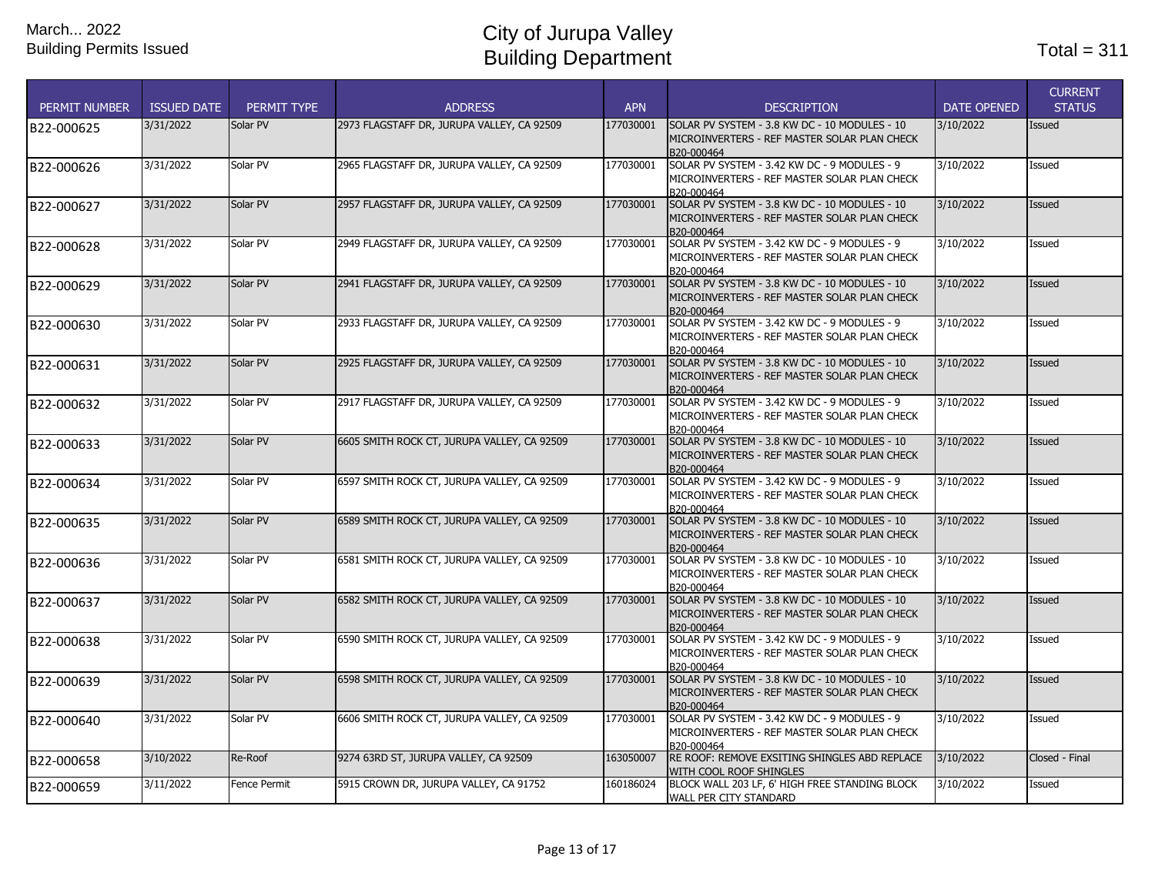| <b>PERMIT NUMBER</b> | <b>ISSUED DATE</b> | PERMIT TYPE         | <b>ADDRESS</b>                              | <b>APN</b> | <b>DESCRIPTION</b>                                                                                          | <b>DATE OPENED</b> | <b>CURRENT</b><br><b>STATUS</b> |
|----------------------|--------------------|---------------------|---------------------------------------------|------------|-------------------------------------------------------------------------------------------------------------|--------------------|---------------------------------|
| B22-000625           | 3/31/2022          | Solar PV            | 2973 FLAGSTAFF DR, JURUPA VALLEY, CA 92509  | 177030001  | SOLAR PV SYSTEM - 3.8 KW DC - 10 MODULES - 10<br>MICROINVERTERS - REF MASTER SOLAR PLAN CHECK<br>B20-000464 | 3/10/2022          | Issued                          |
| B22-000626           | 3/31/2022          | Solar PV            | 2965 FLAGSTAFF DR, JURUPA VALLEY, CA 92509  | 177030001  | SOLAR PV SYSTEM - 3.42 KW DC - 9 MODULES - 9<br>MICROINVERTERS - REF MASTER SOLAR PLAN CHECK<br>B20-000464  | 3/10/2022          | Issued                          |
| B22-000627           | 3/31/2022          | Solar PV            | 2957 FLAGSTAFF DR, JURUPA VALLEY, CA 92509  | 177030001  | SOLAR PV SYSTEM - 3.8 KW DC - 10 MODULES - 10<br>MICROINVERTERS - REF MASTER SOLAR PLAN CHECK<br>B20-000464 | 3/10/2022          | <b>Issued</b>                   |
| B22-000628           | 3/31/2022          | Solar PV            | 2949 FLAGSTAFF DR, JURUPA VALLEY, CA 92509  | 177030001  | SOLAR PV SYSTEM - 3.42 KW DC - 9 MODULES - 9<br>MICROINVERTERS - REF MASTER SOLAR PLAN CHECK<br>B20-000464  | 3/10/2022          | Issued                          |
| B22-000629           | 3/31/2022          | Solar PV            | 2941 FLAGSTAFF DR, JURUPA VALLEY, CA 92509  | 177030001  | SOLAR PV SYSTEM - 3.8 KW DC - 10 MODULES - 10<br>MICROINVERTERS - REF MASTER SOLAR PLAN CHECK<br>B20-000464 | 3/10/2022          | Issued                          |
| B22-000630           | 3/31/2022          | Solar PV            | 2933 FLAGSTAFF DR, JURUPA VALLEY, CA 92509  | 177030001  | SOLAR PV SYSTEM - 3.42 KW DC - 9 MODULES - 9<br>MICROINVERTERS - REF MASTER SOLAR PLAN CHECK<br>B20-000464  | 3/10/2022          | Issued                          |
| B22-000631           | 3/31/2022          | Solar PV            | 2925 FLAGSTAFF DR, JURUPA VALLEY, CA 92509  | 177030001  | SOLAR PV SYSTEM - 3.8 KW DC - 10 MODULES - 10<br>MICROINVERTERS - REF MASTER SOLAR PLAN CHECK<br>B20-000464 | 3/10/2022          | <b>Issued</b>                   |
| B22-000632           | 3/31/2022          | Solar PV            | 2917 FLAGSTAFF DR, JURUPA VALLEY, CA 92509  | 177030001  | SOLAR PV SYSTEM - 3.42 KW DC - 9 MODULES - 9<br>MICROINVERTERS - REF MASTER SOLAR PLAN CHECK<br>B20-000464  | 3/10/2022          | Issued                          |
| B22-000633           | 3/31/2022          | Solar PV            | 6605 SMITH ROCK CT, JURUPA VALLEY, CA 92509 | 177030001  | SOLAR PV SYSTEM - 3.8 KW DC - 10 MODULES - 10<br>MICROINVERTERS - REF MASTER SOLAR PLAN CHECK<br>B20-000464 | 3/10/2022          | Issued                          |
| B22-000634           | 3/31/2022          | Solar PV            | 6597 SMITH ROCK CT, JURUPA VALLEY, CA 92509 | 177030001  | SOLAR PV SYSTEM - 3.42 KW DC - 9 MODULES - 9<br>MICROINVERTERS - REF MASTER SOLAR PLAN CHECK<br>B20-000464  | 3/10/2022          | Issued                          |
| B22-000635           | 3/31/2022          | Solar PV            | 6589 SMITH ROCK CT, JURUPA VALLEY, CA 92509 | 177030001  | SOLAR PV SYSTEM - 3.8 KW DC - 10 MODULES - 10<br>MICROINVERTERS - REF MASTER SOLAR PLAN CHECK<br>B20-000464 | 3/10/2022          | <b>Issued</b>                   |
| B22-000636           | 3/31/2022          | Solar PV            | 6581 SMITH ROCK CT, JURUPA VALLEY, CA 92509 | 177030001  | SOLAR PV SYSTEM - 3.8 KW DC - 10 MODULES - 10<br>MICROINVERTERS - REF MASTER SOLAR PLAN CHECK<br>B20-000464 | 3/10/2022          | Issued                          |
| B22-000637           | 3/31/2022          | Solar PV            | 6582 SMITH ROCK CT, JURUPA VALLEY, CA 92509 | 177030001  | SOLAR PV SYSTEM - 3.8 KW DC - 10 MODULES - 10<br>MICROINVERTERS - REF MASTER SOLAR PLAN CHECK<br>B20-000464 | 3/10/2022          | Issued                          |
| B22-000638           | 3/31/2022          | Solar PV            | 6590 SMITH ROCK CT, JURUPA VALLEY, CA 92509 | 177030001  | SOLAR PV SYSTEM - 3.42 KW DC - 9 MODULES - 9<br>MICROINVERTERS - REF MASTER SOLAR PLAN CHECK<br>B20-000464  | 3/10/2022          | Issued                          |
| B22-000639           | 3/31/2022          | Solar PV            | 6598 SMITH ROCK CT, JURUPA VALLEY, CA 92509 | 177030001  | SOLAR PV SYSTEM - 3.8 KW DC - 10 MODULES - 10<br>MICROINVERTERS - REF MASTER SOLAR PLAN CHECK<br>B20-000464 | 3/10/2022          | Issued                          |
| B22-000640           | 3/31/2022          | Solar PV            | 6606 SMITH ROCK CT, JURUPA VALLEY, CA 92509 | 177030001  | SOLAR PV SYSTEM - 3.42 KW DC - 9 MODULES - 9<br>MICROINVERTERS - REF MASTER SOLAR PLAN CHECK<br>B20-000464  | 3/10/2022          | Issued                          |
| B22-000658           | 3/10/2022          | Re-Roof             | 9274 63RD ST, JURUPA VALLEY, CA 92509       | 163050007  | RE ROOF: REMOVE EXSITING SHINGLES ABD REPLACE<br>WITH COOL ROOF SHINGLES                                    | 3/10/2022          | Closed - Final                  |
| B22-000659           | 3/11/2022          | <b>Fence Permit</b> | 5915 CROWN DR, JURUPA VALLEY, CA 91752      | 160186024  | BLOCK WALL 203 LF, 6' HIGH FREE STANDING BLOCK<br>WALL PER CITY STANDARD                                    | 3/10/2022          | Issued                          |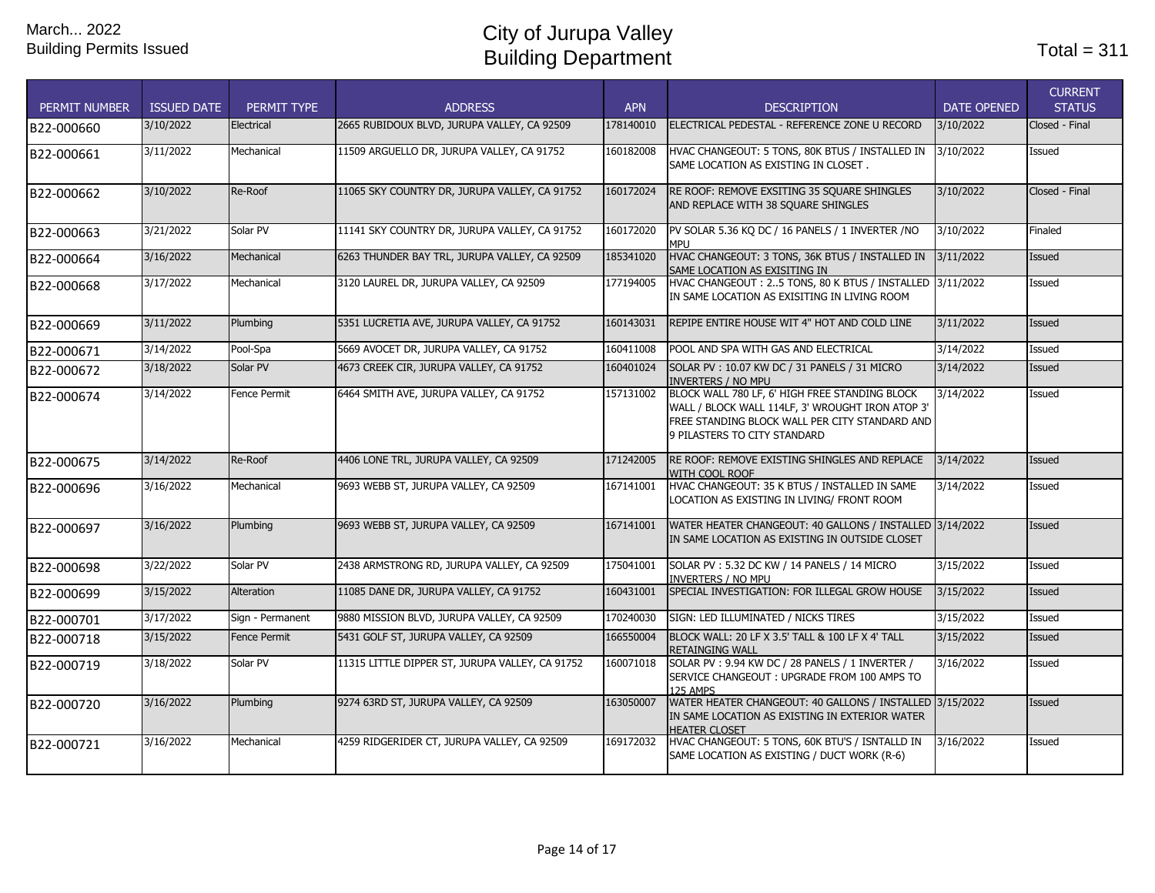| <b>PERMIT NUMBER</b> | <b>ISSUED DATE</b> | PERMIT TYPE         | <b>ADDRESS</b>                                  | <b>APN</b> | <b>DESCRIPTION</b>                                                                                                                                                                   | <b>DATE OPENED</b> | <b>CURRENT</b><br><b>STATUS</b> |
|----------------------|--------------------|---------------------|-------------------------------------------------|------------|--------------------------------------------------------------------------------------------------------------------------------------------------------------------------------------|--------------------|---------------------------------|
| B22-000660           | 3/10/2022          | Electrical          | 2665 RUBIDOUX BLVD, JURUPA VALLEY, CA 92509     | 178140010  | ELECTRICAL PEDESTAL - REFERENCE ZONE U RECORD                                                                                                                                        | 3/10/2022          | Closed - Final                  |
| B22-000661           | 3/11/2022          | Mechanical          | 11509 ARGUELLO DR. JURUPA VALLEY, CA 91752      | 160182008  | HVAC CHANGEOUT: 5 TONS, 80K BTUS / INSTALLED IN<br>SAME LOCATION AS EXISTING IN CLOSET.                                                                                              | 3/10/2022          | Issued                          |
| B22-000662           | 3/10/2022          | Re-Roof             | 11065 SKY COUNTRY DR, JURUPA VALLEY, CA 91752   | 160172024  | RE ROOF: REMOVE EXSITING 35 SQUARE SHINGLES<br>AND REPLACE WITH 38 SQUARE SHINGLES                                                                                                   | 3/10/2022          | Closed - Final                  |
| B22-000663           | 3/21/2022          | Solar PV            | 11141 SKY COUNTRY DR, JURUPA VALLEY, CA 91752   | 160172020  | PV SOLAR 5.36 KQ DC / 16 PANELS / 1 INVERTER / NO<br>MPI J                                                                                                                           | 3/10/2022          | Finaled                         |
| B22-000664           | 3/16/2022          | Mechanical          | 6263 THUNDER BAY TRL, JURUPA VALLEY, CA 92509   | 185341020  | HVAC CHANGEOUT: 3 TONS, 36K BTUS / INSTALLED IN<br>SAME LOCATION AS EXISITING IN                                                                                                     | 3/11/2022          | <b>Issued</b>                   |
| B22-000668           | 3/17/2022          | Mechanical          | 3120 LAUREL DR, JURUPA VALLEY, CA 92509         | 177194005  | HVAC CHANGEOUT: 25 TONS, 80 K BTUS / INSTALLED 3/11/2022<br>IN SAME LOCATION AS EXISITING IN LIVING ROOM                                                                             |                    | Issued                          |
| B22-000669           | 3/11/2022          | Plumbing            | 5351 LUCRETIA AVE, JURUPA VALLEY, CA 91752      | 160143031  | REPIPE ENTIRE HOUSE WIT 4" HOT AND COLD LINE                                                                                                                                         | 3/11/2022          | <b>Issued</b>                   |
| B22-000671           | 3/14/2022          | Pool-Spa            | 5669 AVOCET DR, JURUPA VALLEY, CA 91752         | 160411008  | POOL AND SPA WITH GAS AND ELECTRICAL                                                                                                                                                 | 3/14/2022          | Issued                          |
| B22-000672           | 3/18/2022          | Solar PV            | 4673 CREEK CIR, JURUPA VALLEY, CA 91752         | 160401024  | SOLAR PV: 10.07 KW DC / 31 PANELS / 31 MICRO<br><b>INVERTERS / NO MPU</b>                                                                                                            | 3/14/2022          | <b>Issued</b>                   |
| B22-000674           | 3/14/2022          | <b>Fence Permit</b> | 6464 SMITH AVE, JURUPA VALLEY, CA 91752         | 157131002  | BLOCK WALL 780 LF, 6' HIGH FREE STANDING BLOCK<br>WALL / BLOCK WALL 114LF, 3' WROUGHT IRON ATOP 3'<br>FREE STANDING BLOCK WALL PER CITY STANDARD AND<br>9 PILASTERS TO CITY STANDARD | 3/14/2022          | Issued                          |
| B22-000675           | 3/14/2022          | Re-Roof             | 4406 LONE TRL, JURUPA VALLEY, CA 92509          | 171242005  | RE ROOF: REMOVE EXISTING SHINGLES AND REPLACE<br>WITH COOL ROOF                                                                                                                      | 3/14/2022          | <b>Issued</b>                   |
| B22-000696           | 3/16/2022          | Mechanical          | 9693 WEBB ST, JURUPA VALLEY, CA 92509           | 167141001  | HVAC CHANGEOUT: 35 K BTUS / INSTALLED IN SAME<br>LOCATION AS EXISTING IN LIVING/ FRONT ROOM                                                                                          | 3/14/2022          | Issued                          |
| B22-000697           | 3/16/2022          | Plumbing            | 9693 WEBB ST, JURUPA VALLEY, CA 92509           | 167141001  | WATER HEATER CHANGEOUT: 40 GALLONS / INSTALLED 3/14/2022<br>IN SAME LOCATION AS EXISTING IN OUTSIDE CLOSET                                                                           |                    | Issued                          |
| B22-000698           | 3/22/2022          | Solar PV            | 2438 ARMSTRONG RD, JURUPA VALLEY, CA 92509      | 175041001  | SOLAR PV: 5.32 DC KW / 14 PANELS / 14 MICRO<br>INVERTERS / NO MPU                                                                                                                    | 3/15/2022          | Issued                          |
| B22-000699           | 3/15/2022          | Alteration          | 11085 DANE DR, JURUPA VALLEY, CA 91752          | 160431001  | SPECIAL INVESTIGATION: FOR ILLEGAL GROW HOUSE                                                                                                                                        | 3/15/2022          | <b>Issued</b>                   |
| B22-000701           | 3/17/2022          | Sign - Permanent    | 9880 MISSION BLVD, JURUPA VALLEY, CA 92509      | 170240030  | SIGN: LED ILLUMINATED / NICKS TIRES                                                                                                                                                  | 3/15/2022          | Issued                          |
| B22-000718           | 3/15/2022          | <b>Fence Permit</b> | 5431 GOLF ST, JURUPA VALLEY, CA 92509           | 166550004  | BLOCK WALL: 20 LF X 3.5' TALL & 100 LF X 4' TALL<br>RETAINGING WALL                                                                                                                  | 3/15/2022          | Issued                          |
| B22-000719           | 3/18/2022          | Solar PV            | 11315 LITTLE DIPPER ST, JURUPA VALLEY, CA 91752 | 160071018  | SOLAR PV: 9.94 KW DC / 28 PANELS / 1 INVERTER /<br>SERVICE CHANGEOUT : UPGRADE FROM 100 AMPS TO<br><b>125 AMPS</b>                                                                   | 3/16/2022          | Issued                          |
| B22-000720           | 3/16/2022          | Plumbing            | 9274 63RD ST, JURUPA VALLEY, CA 92509           | 163050007  | WATER HEATER CHANGEOUT: 40 GALLONS / INSTALLED 3/15/2022<br>IN SAME LOCATION AS EXISTING IN EXTERIOR WATER<br><b>HEATER CLOSET</b>                                                   |                    | <b>Issued</b>                   |
| B22-000721           | 3/16/2022          | Mechanical          | 4259 RIDGERIDER CT, JURUPA VALLEY, CA 92509     | 169172032  | HVAC CHANGEOUT: 5 TONS, 60K BTU'S / ISNTALLD IN<br>SAME LOCATION AS EXISTING / DUCT WORK (R-6)                                                                                       | 3/16/2022          | Issued                          |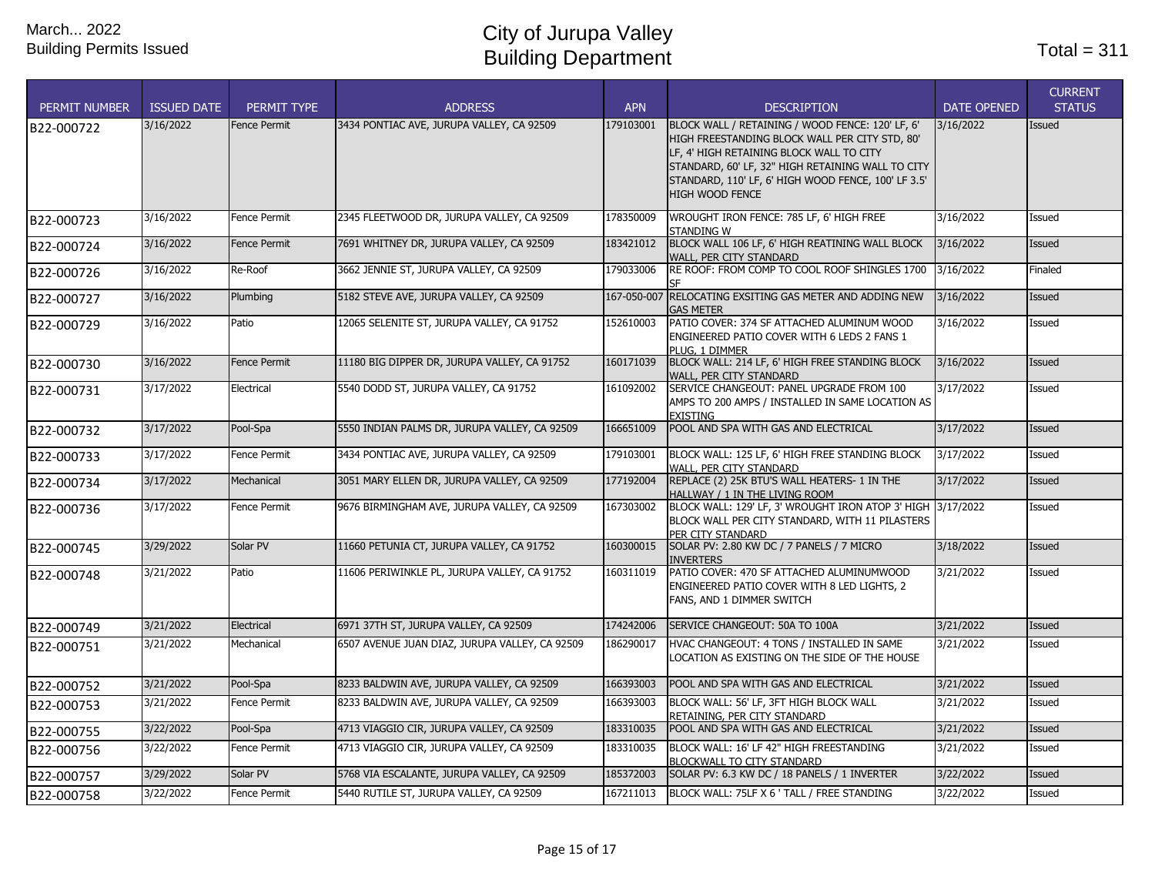| <b>PERMIT NUMBER</b> | <b>ISSUED DATE</b> | PERMIT TYPE         | <b>ADDRESS</b>                                 | <b>APN</b>  | <b>DESCRIPTION</b>                                                                                                                                                                                                                                                            | <b>DATE OPENED</b> | <b>CURRENT</b><br><b>STATUS</b> |
|----------------------|--------------------|---------------------|------------------------------------------------|-------------|-------------------------------------------------------------------------------------------------------------------------------------------------------------------------------------------------------------------------------------------------------------------------------|--------------------|---------------------------------|
| B22-000722           | 3/16/2022          | <b>Fence Permit</b> | 3434 PONTIAC AVE, JURUPA VALLEY, CA 92509      | 179103001   | BLOCK WALL / RETAINING / WOOD FENCE: 120' LF, 6'<br>HIGH FREESTANDING BLOCK WALL PER CITY STD, 80'<br>LF, 4' HIGH RETAINING BLOCK WALL TO CITY<br>STANDARD, 60' LF, 32" HIGH RETAINING WALL TO CITY<br>STANDARD, 110' LF, 6' HIGH WOOD FENCE, 100' LF 3.5'<br>HIGH WOOD FENCE | 3/16/2022          | Issued                          |
| B22-000723           | 3/16/2022          | Fence Permit        | 2345 FLEETWOOD DR, JURUPA VALLEY, CA 92509     | 178350009   | WROUGHT IRON FENCE: 785 LF, 6' HIGH FREE<br><b>STANDING W</b>                                                                                                                                                                                                                 | 3/16/2022          | Issued                          |
| B22-000724           | 3/16/2022          | Fence Permit        | 7691 WHITNEY DR, JURUPA VALLEY, CA 92509       | 183421012   | BLOCK WALL 106 LF, 6' HIGH REATINING WALL BLOCK<br>WALL, PER CITY STANDARD                                                                                                                                                                                                    | 3/16/2022          | Issued                          |
| B22-000726           | 3/16/2022          | Re-Roof             | 3662 JENNIE ST, JURUPA VALLEY, CA 92509        | 179033006   | RE ROOF: FROM COMP TO COOL ROOF SHINGLES 1700                                                                                                                                                                                                                                 | 3/16/2022          | Finaled                         |
| B22-000727           | 3/16/2022          | Plumbing            | 5182 STEVE AVE, JURUPA VALLEY, CA 92509        | 167-050-007 | RELOCATING EXSITING GAS METER AND ADDING NEW<br><b>GAS METER</b>                                                                                                                                                                                                              | 3/16/2022          | Issued                          |
| B22-000729           | 3/16/2022          | Patio               | 12065 SELENITE ST, JURUPA VALLEY, CA 91752     | 152610003   | PATIO COVER: 374 SF ATTACHED ALUMINUM WOOD<br>ENGINEERED PATIO COVER WITH 6 LEDS 2 FANS 1<br>PLUG, 1 DIMMER                                                                                                                                                                   | 3/16/2022          | Issued                          |
| B22-000730           | 3/16/2022          | <b>Fence Permit</b> | 11180 BIG DIPPER DR, JURUPA VALLEY, CA 91752   | 160171039   | BLOCK WALL: 214 LF, 6' HIGH FREE STANDING BLOCK<br>WALL, PER CITY STANDARD                                                                                                                                                                                                    | 3/16/2022          | Issued                          |
| B22-000731           | 3/17/2022          | Electrical          | 5540 DODD ST, JURUPA VALLEY, CA 91752          | 161092002   | SERVICE CHANGEOUT: PANEL UPGRADE FROM 100<br>AMPS TO 200 AMPS / INSTALLED IN SAME LOCATION AS<br><b>FXISTING</b>                                                                                                                                                              | 3/17/2022          | Issued                          |
| B22-000732           | 3/17/2022          | Pool-Spa            | 5550 INDIAN PALMS DR, JURUPA VALLEY, CA 92509  | 166651009   | POOL AND SPA WITH GAS AND ELECTRICAL                                                                                                                                                                                                                                          | 3/17/2022          | Issued                          |
| B22-000733           | 3/17/2022          | <b>Fence Permit</b> | 3434 PONTIAC AVE, JURUPA VALLEY, CA 92509      | 179103001   | BLOCK WALL: 125 LF, 6' HIGH FREE STANDING BLOCK<br>WALL, PER CITY STANDARD                                                                                                                                                                                                    | 3/17/2022          | Issued                          |
| B22-000734           | 3/17/2022          | Mechanical          | 3051 MARY ELLEN DR, JURUPA VALLEY, CA 92509    | 177192004   | REPLACE (2) 25K BTU'S WALL HEATERS- 1 IN THE<br>HALLWAY / 1 IN THE LIVING ROOM                                                                                                                                                                                                | 3/17/2022          | Issued                          |
| B22-000736           | 3/17/2022          | Fence Permit        | 9676 BIRMINGHAM AVE, JURUPA VALLEY, CA 92509   | 167303002   | BLOCK WALL: 129' LF, 3' WROUGHT IRON ATOP 3' HIGH 3/17/2022<br>BLOCK WALL PER CITY STANDARD, WITH 11 PILASTERS<br>PER CITY STANDARD                                                                                                                                           |                    | Issued                          |
| B22-000745           | 3/29/2022          | Solar PV            | 11660 PETUNIA CT, JURUPA VALLEY, CA 91752      | 160300015   | SOLAR PV: 2.80 KW DC / 7 PANELS / 7 MICRO<br><b>INVERTERS</b>                                                                                                                                                                                                                 | 3/18/2022          | Issued                          |
| B22-000748           | 3/21/2022          | Patio               | 11606 PERIWINKLE PL, JURUPA VALLEY, CA 91752   | 160311019   | PATIO COVER: 470 SF ATTACHED ALUMINUMWOOD<br>ENGINEERED PATIO COVER WITH 8 LED LIGHTS, 2<br>FANS, AND 1 DIMMER SWITCH                                                                                                                                                         | 3/21/2022          | Issued                          |
| B22-000749           | 3/21/2022          | Electrical          | 6971 37TH ST, JURUPA VALLEY, CA 92509          | 174242006   | SERVICE CHANGEOUT: 50A TO 100A                                                                                                                                                                                                                                                | 3/21/2022          | Issued                          |
| B22-000751           | 3/21/2022          | Mechanical          | 6507 AVENUE JUAN DIAZ, JURUPA VALLEY, CA 92509 | 186290017   | HVAC CHANGEOUT: 4 TONS / INSTALLED IN SAME<br>LOCATION AS EXISTING ON THE SIDE OF THE HOUSE                                                                                                                                                                                   | 3/21/2022          | Issued                          |
| B22-000752           | 3/21/2022          | Pool-Spa            | 8233 BALDWIN AVE, JURUPA VALLEY, CA 92509      | 166393003   | POOL AND SPA WITH GAS AND ELECTRICAL                                                                                                                                                                                                                                          | 3/21/2022          | <b>Issued</b>                   |
| B22-000753           | 3/21/2022          | Fence Permit        | 8233 BALDWIN AVE, JURUPA VALLEY, CA 92509      | 166393003   | BLOCK WALL: 56' LF, 3FT HIGH BLOCK WALL<br>RETAINING, PER CITY STANDARD                                                                                                                                                                                                       | 3/21/2022          | Issued                          |
| B22-000755           | 3/22/2022          | Pool-Spa            | 4713 VIAGGIO CIR, JURUPA VALLEY, CA 92509      | 183310035   | POOL AND SPA WITH GAS AND ELECTRICAL                                                                                                                                                                                                                                          | 3/21/2022          | Issued                          |
| B22-000756           | 3/22/2022          | Fence Permit        | 4713 VIAGGIO CIR, JURUPA VALLEY, CA 92509      | 183310035   | BLOCK WALL: 16' LF 42" HIGH FREESTANDING<br>BLOCKWALL TO CITY STANDARD                                                                                                                                                                                                        | 3/21/2022          | Issued                          |
| B22-000757           | 3/29/2022          | Solar PV            | 5768 VIA ESCALANTE, JURUPA VALLEY, CA 92509    | 185372003   | SOLAR PV: 6.3 KW DC / 18 PANELS / 1 INVERTER                                                                                                                                                                                                                                  | 3/22/2022          | Issued                          |
| B22-000758           | 3/22/2022          | Fence Permit        | 5440 RUTILE ST, JURUPA VALLEY, CA 92509        | 167211013   | BLOCK WALL: 75LF X 6 ' TALL / FREE STANDING                                                                                                                                                                                                                                   | 3/22/2022          | Issued                          |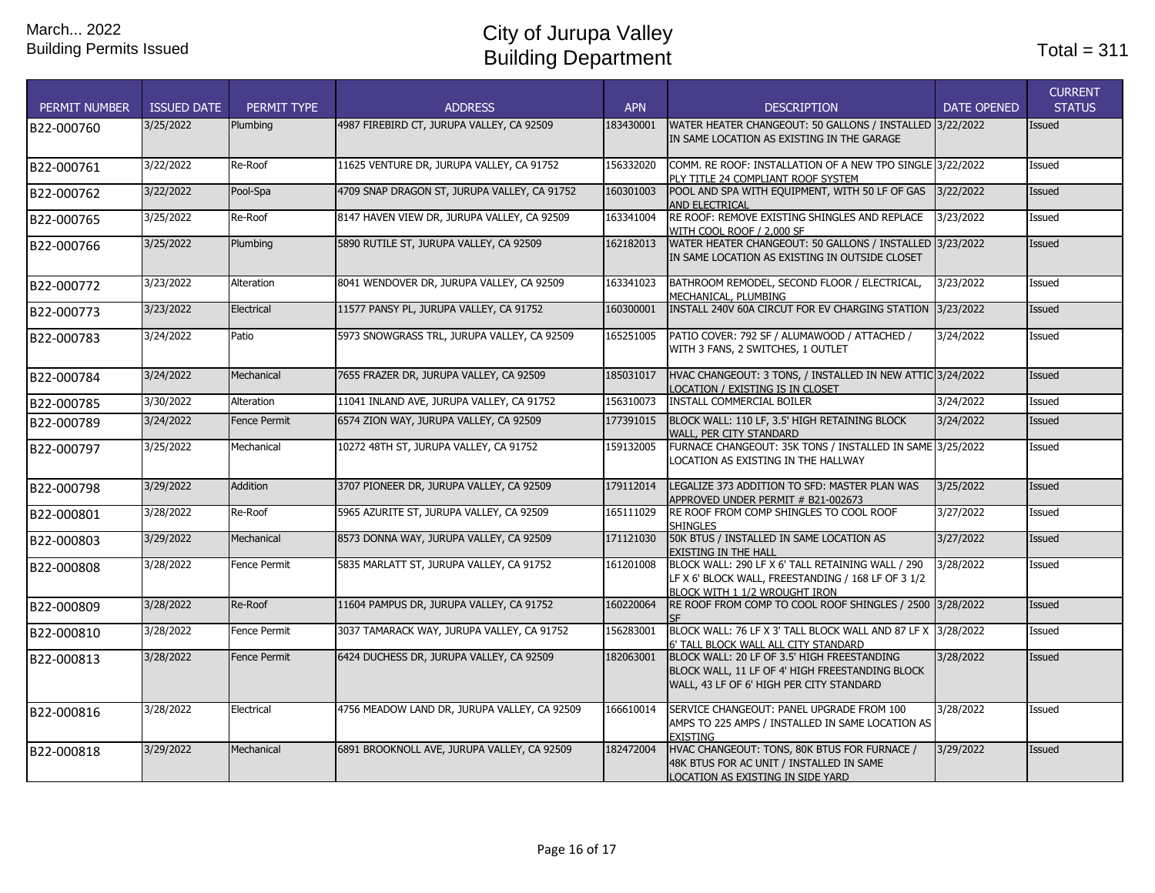| <b>PERMIT NUMBER</b> | <b>ISSUED DATE</b> | PERMIT TYPE         | <b>ADDRESS</b>                               | <b>APN</b> | <b>DESCRIPTION</b>                                                                                                                         | <b>DATE OPENED</b> | <b>CURRENT</b><br><b>STATUS</b> |
|----------------------|--------------------|---------------------|----------------------------------------------|------------|--------------------------------------------------------------------------------------------------------------------------------------------|--------------------|---------------------------------|
| B22-000760           | 3/25/2022          | Plumbing            | 4987 FIREBIRD CT, JURUPA VALLEY, CA 92509    | 183430001  | WATER HEATER CHANGEOUT: 50 GALLONS / INSTALLED 3/22/2022<br>IN SAME LOCATION AS EXISTING IN THE GARAGE                                     |                    | <b>Issued</b>                   |
| B22-000761           | 3/22/2022          | Re-Roof             | 11625 VENTURE DR, JURUPA VALLEY, CA 91752    | 156332020  | COMM. RE ROOF: INSTALLATION OF A NEW TPO SINGLE 3/22/2022<br>PLY TITLE 24 COMPLIANT ROOF SYSTEM                                            |                    | Issued                          |
| B22-000762           | 3/22/2022          | Pool-Spa            | 4709 SNAP DRAGON ST, JURUPA VALLEY, CA 91752 | 160301003  | POOL AND SPA WITH EQUIPMENT, WITH 50 LF OF GAS<br><b>AND ELECTRICAL</b>                                                                    | 3/22/2022          | Issued                          |
| B22-000765           | 3/25/2022          | Re-Roof             | 8147 HAVEN VIEW DR, JURUPA VALLEY, CA 92509  | 163341004  | RE ROOF: REMOVE EXISTING SHINGLES AND REPLACE<br>WITH COOL ROOF / 2,000 SF                                                                 | 3/23/2022          | Issued                          |
| B22-000766           | 3/25/2022          | Plumbing            | 5890 RUTILE ST, JURUPA VALLEY, CA 92509      | 162182013  | WATER HEATER CHANGEOUT: 50 GALLONS / INSTALLED 3/23/2022<br>IN SAME LOCATION AS EXISTING IN OUTSIDE CLOSET                                 |                    | <b>Issued</b>                   |
| B22-000772           | 3/23/2022          | Alteration          | 8041 WENDOVER DR, JURUPA VALLEY, CA 92509    | 163341023  | BATHROOM REMODEL, SECOND FLOOR / ELECTRICAL,<br>MECHANICAL, PLUMBING                                                                       | 3/23/2022          | Issued                          |
| B22-000773           | 3/23/2022          | Electrical          | 11577 PANSY PL, JURUPA VALLEY, CA 91752      | 160300001  | INSTALL 240V 60A CIRCUT FOR EV CHARGING STATION 3/23/2022                                                                                  |                    | <b>Issued</b>                   |
| B22-000783           | 3/24/2022          | Patio               | 5973 SNOWGRASS TRL, JURUPA VALLEY, CA 92509  | 165251005  | PATIO COVER: 792 SF / ALUMAWOOD / ATTACHED /<br>WITH 3 FANS, 2 SWITCHES, 1 OUTLET                                                          | 3/24/2022          | Issued                          |
| B22-000784           | 3/24/2022          | Mechanical          | 7655 FRAZER DR, JURUPA VALLEY, CA 92509      | 185031017  | HVAC CHANGEOUT: 3 TONS, / INSTALLED IN NEW ATTIC 3/24/2022<br>LOCATION / EXISTING IS IN CLOSET                                             |                    | <b>Issued</b>                   |
| B22-000785           | 3/30/2022          | Alteration          | 11041 INLAND AVE, JURUPA VALLEY, CA 91752    | 156310073  | <b>INSTALL COMMERCIAL BOILER</b>                                                                                                           | 3/24/2022          | Issued                          |
| B22-000789           | 3/24/2022          | <b>Fence Permit</b> | 6574 ZION WAY, JURUPA VALLEY, CA 92509       | 177391015  | BLOCK WALL: 110 LF, 3.5' HIGH RETAINING BLOCK<br>WALL, PER CITY STANDARD                                                                   | 3/24/2022          | <b>Issued</b>                   |
| B22-000797           | 3/25/2022          | Mechanical          | 10272 48TH ST, JURUPA VALLEY, CA 91752       | 159132005  | FURNACE CHANGEOUT: 35K TONS / INSTALLED IN SAME 3/25/2022<br>LOCATION AS EXISTING IN THE HALLWAY                                           |                    | Issued                          |
| B22-000798           | 3/29/2022          | <b>Addition</b>     | 3707 PIONEER DR, JURUPA VALLEY, CA 92509     | 179112014  | LEGALIZE 373 ADDITION TO SFD: MASTER PLAN WAS<br>APPROVED UNDER PERMIT # B21-002673                                                        | 3/25/2022          | <b>Issued</b>                   |
| B22-000801           | 3/28/2022          | Re-Roof             | 5965 AZURITE ST, JURUPA VALLEY, CA 92509     | 165111029  | RE ROOF FROM COMP SHINGLES TO COOL ROOF<br><b>SHINGLES</b>                                                                                 | 3/27/2022          | Issued                          |
| B22-000803           | 3/29/2022          | Mechanical          | 8573 DONNA WAY, JURUPA VALLEY, CA 92509      | 171121030  | 50K BTUS / INSTALLED IN SAME LOCATION AS<br><b>EXISTING IN THE HALL</b>                                                                    | 3/27/2022          | <b>Issued</b>                   |
| B22-000808           | 3/28/2022          | Fence Permit        | 5835 MARLATT ST, JURUPA VALLEY, CA 91752     | 161201008  | BLOCK WALL: 290 LF X 6' TALL RETAINING WALL / 290<br>LF X 6' BLOCK WALL, FREESTANDING / 168 LF OF 3 1/2<br>BLOCK WITH 1 1/2 WROUGHT IRON   | 3/28/2022          | Issued                          |
| B22-000809           | 3/28/2022          | Re-Roof             | 11604 PAMPUS DR, JURUPA VALLEY, CA 91752     | 160220064  | RE ROOF FROM COMP TO COOL ROOF SHINGLES / 2500 3/28/2022                                                                                   |                    | <b>Issued</b>                   |
| B22-000810           | 3/28/2022          | Fence Permit        | 3037 TAMARACK WAY, JURUPA VALLEY, CA 91752   | 156283001  | BLOCK WALL: 76 LF X 3' TALL BLOCK WALL AND 87 LF X 3/28/2022<br>6' TALL BLOCK WALL ALL CITY STANDARD                                       |                    | Issued                          |
| B22-000813           | 3/28/2022          | <b>Fence Permit</b> | 6424 DUCHESS DR, JURUPA VALLEY, CA 92509     | 182063001  | BLOCK WALL: 20 LF OF 3.5' HIGH FREESTANDING<br>BLOCK WALL, 11 LF OF 4' HIGH FREESTANDING BLOCK<br>WALL, 43 LF OF 6' HIGH PER CITY STANDARD | 3/28/2022          | Issued                          |
| B22-000816           | 3/28/2022          | Electrical          | 4756 MEADOW LAND DR, JURUPA VALLEY, CA 92509 | 166610014  | SERVICE CHANGEOUT: PANEL UPGRADE FROM 100<br>AMPS TO 225 AMPS / INSTALLED IN SAME LOCATION AS<br><b>EXISTING</b>                           | 3/28/2022          | Issued                          |
| B22-000818           | 3/29/2022          | Mechanical          | 6891 BROOKNOLL AVE, JURUPA VALLEY, CA 92509  | 182472004  | HVAC CHANGEOUT: TONS, 80K BTUS FOR FURNACE /<br>48K BTUS FOR AC UNIT / INSTALLED IN SAME<br>LOCATION AS EXISTING IN SIDE YARD              | 3/29/2022          | <b>Issued</b>                   |